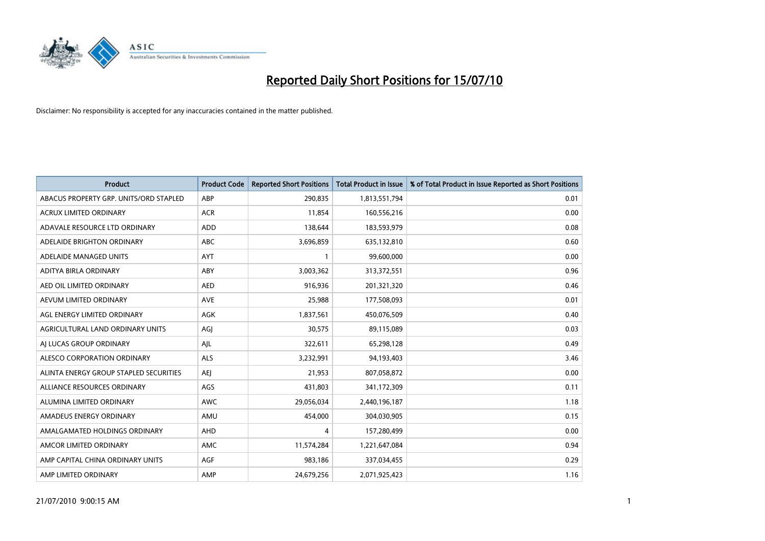

| <b>Product</b>                         | <b>Product Code</b> | <b>Reported Short Positions</b> | Total Product in Issue | % of Total Product in Issue Reported as Short Positions |
|----------------------------------------|---------------------|---------------------------------|------------------------|---------------------------------------------------------|
| ABACUS PROPERTY GRP. UNITS/ORD STAPLED | ABP                 | 290,835                         | 1,813,551,794          | 0.01                                                    |
| ACRUX LIMITED ORDINARY                 | <b>ACR</b>          | 11,854                          | 160,556,216            | 0.00                                                    |
| ADAVALE RESOURCE LTD ORDINARY          | <b>ADD</b>          | 138,644                         | 183,593,979            | 0.08                                                    |
| ADELAIDE BRIGHTON ORDINARY             | <b>ABC</b>          | 3,696,859                       | 635,132,810            | 0.60                                                    |
| ADELAIDE MANAGED UNITS                 | <b>AYT</b>          |                                 | 99,600,000             | 0.00                                                    |
| ADITYA BIRLA ORDINARY                  | ABY                 | 3,003,362                       | 313,372,551            | 0.96                                                    |
| AED OIL LIMITED ORDINARY               | <b>AED</b>          | 916.936                         | 201,321,320            | 0.46                                                    |
| AEVUM LIMITED ORDINARY                 | <b>AVE</b>          | 25,988                          | 177,508,093            | 0.01                                                    |
| AGL ENERGY LIMITED ORDINARY            | AGK                 | 1,837,561                       | 450,076,509            | 0.40                                                    |
| AGRICULTURAL LAND ORDINARY UNITS       | AGJ                 | 30,575                          | 89,115,089             | 0.03                                                    |
| AJ LUCAS GROUP ORDINARY                | AJL                 | 322,611                         | 65,298,128             | 0.49                                                    |
| ALESCO CORPORATION ORDINARY            | <b>ALS</b>          | 3,232,991                       | 94,193,403             | 3.46                                                    |
| ALINTA ENERGY GROUP STAPLED SECURITIES | AEJ                 | 21,953                          | 807,058,872            | 0.00                                                    |
| ALLIANCE RESOURCES ORDINARY            | AGS                 | 431,803                         | 341,172,309            | 0.11                                                    |
| ALUMINA LIMITED ORDINARY               | <b>AWC</b>          | 29,056,034                      | 2,440,196,187          | 1.18                                                    |
| AMADEUS ENERGY ORDINARY                | AMU                 | 454,000                         | 304,030,905            | 0.15                                                    |
| AMALGAMATED HOLDINGS ORDINARY          | AHD                 | 4                               | 157,280,499            | 0.00                                                    |
| AMCOR LIMITED ORDINARY                 | <b>AMC</b>          | 11,574,284                      | 1,221,647,084          | 0.94                                                    |
| AMP CAPITAL CHINA ORDINARY UNITS       | <b>AGF</b>          | 983,186                         | 337,034,455            | 0.29                                                    |
| AMP LIMITED ORDINARY                   | AMP                 | 24,679,256                      | 2,071,925,423          | 1.16                                                    |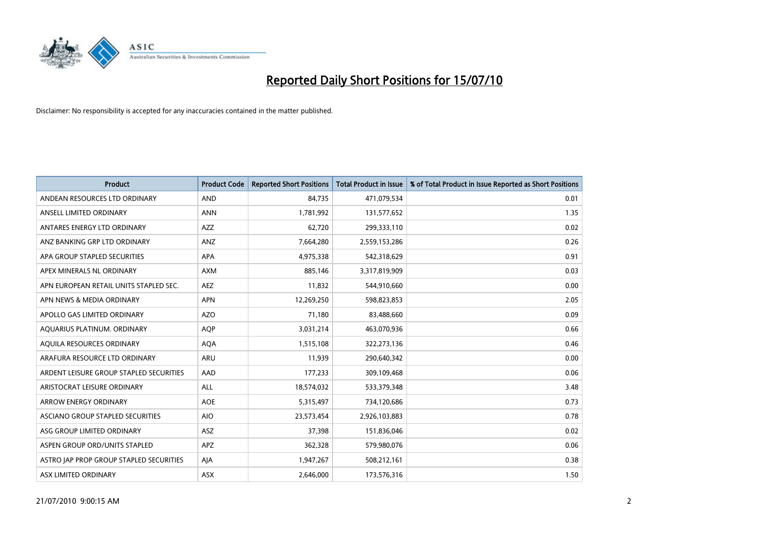

| <b>Product</b>                          | <b>Product Code</b> | <b>Reported Short Positions</b> | Total Product in Issue | % of Total Product in Issue Reported as Short Positions |
|-----------------------------------------|---------------------|---------------------------------|------------------------|---------------------------------------------------------|
| ANDEAN RESOURCES LTD ORDINARY           | <b>AND</b>          | 84,735                          | 471,079,534            | 0.01                                                    |
| ANSELL LIMITED ORDINARY                 | <b>ANN</b>          | 1,781,992                       | 131,577,652            | 1.35                                                    |
| ANTARES ENERGY LTD ORDINARY             | <b>AZZ</b>          | 62.720                          | 299,333,110            | 0.02                                                    |
| ANZ BANKING GRP LTD ORDINARY            | ANZ                 | 7,664,280                       | 2,559,153,286          | 0.26                                                    |
| APA GROUP STAPLED SECURITIES            | APA                 | 4,975,338                       | 542,318,629            | 0.91                                                    |
| APEX MINERALS NL ORDINARY               | <b>AXM</b>          | 885,146                         | 3,317,819,909          | 0.03                                                    |
| APN EUROPEAN RETAIL UNITS STAPLED SEC.  | <b>AEZ</b>          | 11,832                          | 544,910,660            | 0.00                                                    |
| APN NEWS & MEDIA ORDINARY               | <b>APN</b>          | 12,269,250                      | 598,823,853            | 2.05                                                    |
| APOLLO GAS LIMITED ORDINARY             | <b>AZO</b>          | 71,180                          | 83,488,660             | 0.09                                                    |
| AQUARIUS PLATINUM. ORDINARY             | <b>AOP</b>          | 3,031,214                       | 463,070,936            | 0.66                                                    |
| AQUILA RESOURCES ORDINARY               | <b>AQA</b>          | 1,515,108                       | 322,273,136            | 0.46                                                    |
| ARAFURA RESOURCE LTD ORDINARY           | <b>ARU</b>          | 11,939                          | 290,640,342            | 0.00                                                    |
| ARDENT LEISURE GROUP STAPLED SECURITIES | AAD                 | 177,233                         | 309,109,468            | 0.06                                                    |
| ARISTOCRAT LEISURE ORDINARY             | ALL                 | 18,574,032                      | 533,379,348            | 3.48                                                    |
| <b>ARROW ENERGY ORDINARY</b>            | <b>AOE</b>          | 5,315,497                       | 734,120,686            | 0.73                                                    |
| ASCIANO GROUP STAPLED SECURITIES        | <b>AIO</b>          | 23,573,454                      | 2,926,103,883          | 0.78                                                    |
| ASG GROUP LIMITED ORDINARY              | ASZ                 | 37,398                          | 151,836,046            | 0.02                                                    |
| ASPEN GROUP ORD/UNITS STAPLED           | <b>APZ</b>          | 362,328                         | 579,980,076            | 0.06                                                    |
| ASTRO JAP PROP GROUP STAPLED SECURITIES | AJA                 | 1,947,267                       | 508,212,161            | 0.38                                                    |
| ASX LIMITED ORDINARY                    | ASX                 | 2,646,000                       | 173,576,316            | 1.50                                                    |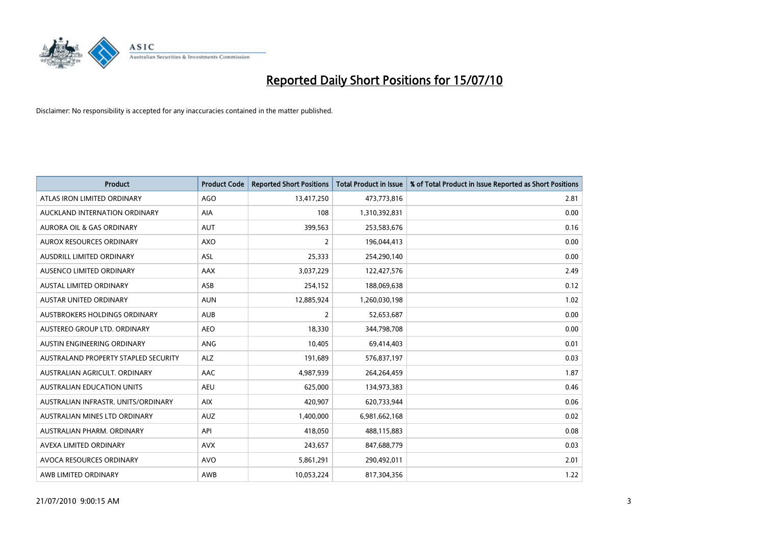

| <b>Product</b>                       | <b>Product Code</b> | <b>Reported Short Positions</b> | <b>Total Product in Issue</b> | % of Total Product in Issue Reported as Short Positions |
|--------------------------------------|---------------------|---------------------------------|-------------------------------|---------------------------------------------------------|
| ATLAS IRON LIMITED ORDINARY          | <b>AGO</b>          | 13,417,250                      | 473,773,816                   | 2.81                                                    |
| AUCKLAND INTERNATION ORDINARY        | AIA                 | 108                             | 1,310,392,831                 | 0.00                                                    |
| <b>AURORA OIL &amp; GAS ORDINARY</b> | <b>AUT</b>          | 399,563                         | 253,583,676                   | 0.16                                                    |
| AUROX RESOURCES ORDINARY             | <b>AXO</b>          | $\overline{2}$                  | 196,044,413                   | 0.00                                                    |
| AUSDRILL LIMITED ORDINARY            | ASL                 | 25,333                          | 254,290,140                   | 0.00                                                    |
| AUSENCO LIMITED ORDINARY             | <b>AAX</b>          | 3,037,229                       | 122,427,576                   | 2.49                                                    |
| <b>AUSTAL LIMITED ORDINARY</b>       | ASB                 | 254,152                         | 188,069,638                   | 0.12                                                    |
| AUSTAR UNITED ORDINARY               | <b>AUN</b>          | 12,885,924                      | 1,260,030,198                 | 1.02                                                    |
| AUSTBROKERS HOLDINGS ORDINARY        | <b>AUB</b>          | 2                               | 52,653,687                    | 0.00                                                    |
| AUSTEREO GROUP LTD. ORDINARY         | <b>AEO</b>          | 18,330                          | 344,798,708                   | 0.00                                                    |
| AUSTIN ENGINEERING ORDINARY          | ANG                 | 10,405                          | 69,414,403                    | 0.01                                                    |
| AUSTRALAND PROPERTY STAPLED SECURITY | <b>ALZ</b>          | 191,689                         | 576,837,197                   | 0.03                                                    |
| AUSTRALIAN AGRICULT. ORDINARY        | AAC                 | 4,987,939                       | 264,264,459                   | 1.87                                                    |
| AUSTRALIAN EDUCATION UNITS           | <b>AEU</b>          | 625,000                         | 134,973,383                   | 0.46                                                    |
| AUSTRALIAN INFRASTR, UNITS/ORDINARY  | <b>AIX</b>          | 420,907                         | 620,733,944                   | 0.06                                                    |
| AUSTRALIAN MINES LTD ORDINARY        | <b>AUZ</b>          | 1,400,000                       | 6,981,662,168                 | 0.02                                                    |
| AUSTRALIAN PHARM. ORDINARY           | API                 | 418,050                         | 488,115,883                   | 0.08                                                    |
| AVEXA LIMITED ORDINARY               | <b>AVX</b>          | 243,657                         | 847,688,779                   | 0.03                                                    |
| AVOCA RESOURCES ORDINARY             | <b>AVO</b>          | 5,861,291                       | 290,492,011                   | 2.01                                                    |
| AWB LIMITED ORDINARY                 | AWB                 | 10,053,224                      | 817,304,356                   | 1.22                                                    |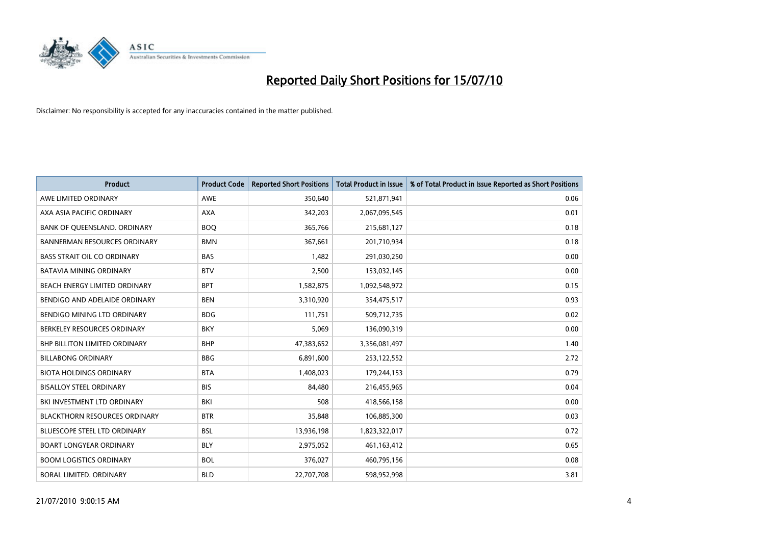

| <b>Product</b>                       | <b>Product Code</b> | <b>Reported Short Positions</b> | <b>Total Product in Issue</b> | % of Total Product in Issue Reported as Short Positions |
|--------------------------------------|---------------------|---------------------------------|-------------------------------|---------------------------------------------------------|
| AWE LIMITED ORDINARY                 | <b>AWE</b>          | 350,640                         | 521,871,941                   | 0.06                                                    |
| AXA ASIA PACIFIC ORDINARY            | <b>AXA</b>          | 342,203                         | 2,067,095,545                 | 0.01                                                    |
| BANK OF QUEENSLAND. ORDINARY         | <b>BOO</b>          | 365,766                         | 215,681,127                   | 0.18                                                    |
| <b>BANNERMAN RESOURCES ORDINARY</b>  | <b>BMN</b>          | 367,661                         | 201,710,934                   | 0.18                                                    |
| <b>BASS STRAIT OIL CO ORDINARY</b>   | <b>BAS</b>          | 1,482                           | 291,030,250                   | 0.00                                                    |
| <b>BATAVIA MINING ORDINARY</b>       | <b>BTV</b>          | 2,500                           | 153,032,145                   | 0.00                                                    |
| BEACH ENERGY LIMITED ORDINARY        | <b>BPT</b>          | 1,582,875                       | 1,092,548,972                 | 0.15                                                    |
| BENDIGO AND ADELAIDE ORDINARY        | <b>BEN</b>          | 3,310,920                       | 354,475,517                   | 0.93                                                    |
| BENDIGO MINING LTD ORDINARY          | <b>BDG</b>          | 111.751                         | 509,712,735                   | 0.02                                                    |
| BERKELEY RESOURCES ORDINARY          | <b>BKY</b>          | 5,069                           | 136,090,319                   | 0.00                                                    |
| <b>BHP BILLITON LIMITED ORDINARY</b> | <b>BHP</b>          | 47,383,652                      | 3,356,081,497                 | 1.40                                                    |
| <b>BILLABONG ORDINARY</b>            | <b>BBG</b>          | 6,891,600                       | 253,122,552                   | 2.72                                                    |
| <b>BIOTA HOLDINGS ORDINARY</b>       | <b>BTA</b>          | 1,408,023                       | 179,244,153                   | 0.79                                                    |
| <b>BISALLOY STEEL ORDINARY</b>       | <b>BIS</b>          | 84,480                          | 216,455,965                   | 0.04                                                    |
| BKI INVESTMENT LTD ORDINARY          | <b>BKI</b>          | 508                             | 418,566,158                   | 0.00                                                    |
| <b>BLACKTHORN RESOURCES ORDINARY</b> | <b>BTR</b>          | 35,848                          | 106,885,300                   | 0.03                                                    |
| BLUESCOPE STEEL LTD ORDINARY         | <b>BSL</b>          | 13,936,198                      | 1,823,322,017                 | 0.72                                                    |
| BOART LONGYEAR ORDINARY              | <b>BLY</b>          | 2,975,052                       | 461,163,412                   | 0.65                                                    |
| <b>BOOM LOGISTICS ORDINARY</b>       | <b>BOL</b>          | 376,027                         | 460,795,156                   | 0.08                                                    |
| <b>BORAL LIMITED, ORDINARY</b>       | <b>BLD</b>          | 22,707,708                      | 598,952,998                   | 3.81                                                    |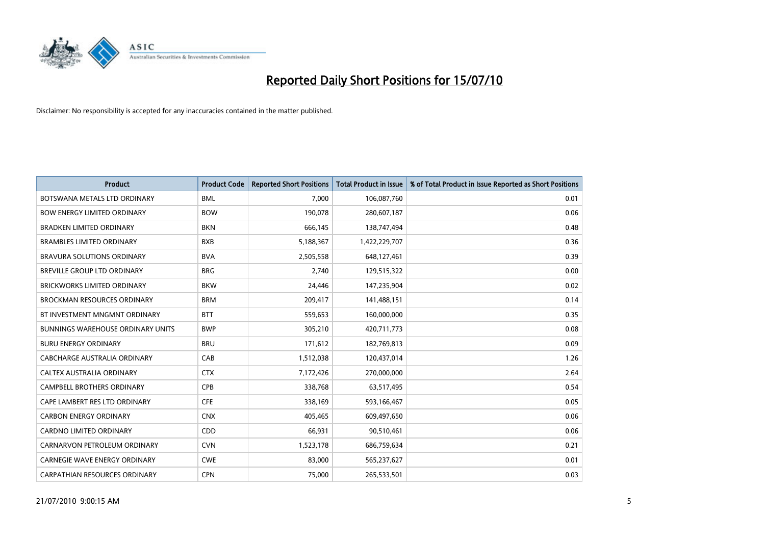

| <b>Product</b>                           | <b>Product Code</b> | <b>Reported Short Positions</b> | Total Product in Issue | % of Total Product in Issue Reported as Short Positions |
|------------------------------------------|---------------------|---------------------------------|------------------------|---------------------------------------------------------|
| BOTSWANA METALS LTD ORDINARY             | <b>BML</b>          | 7,000                           | 106,087,760            | 0.01                                                    |
| <b>BOW ENERGY LIMITED ORDINARY</b>       | <b>BOW</b>          | 190,078                         | 280,607,187            | 0.06                                                    |
| <b>BRADKEN LIMITED ORDINARY</b>          | <b>BKN</b>          | 666,145                         | 138,747,494            | 0.48                                                    |
| <b>BRAMBLES LIMITED ORDINARY</b>         | <b>BXB</b>          | 5,188,367                       | 1,422,229,707          | 0.36                                                    |
| <b>BRAVURA SOLUTIONS ORDINARY</b>        | <b>BVA</b>          | 2,505,558                       | 648,127,461            | 0.39                                                    |
| <b>BREVILLE GROUP LTD ORDINARY</b>       | <b>BRG</b>          | 2,740                           | 129,515,322            | 0.00                                                    |
| <b>BRICKWORKS LIMITED ORDINARY</b>       | <b>BKW</b>          | 24,446                          | 147,235,904            | 0.02                                                    |
| <b>BROCKMAN RESOURCES ORDINARY</b>       | <b>BRM</b>          | 209,417                         | 141,488,151            | 0.14                                                    |
| BT INVESTMENT MNGMNT ORDINARY            | <b>BTT</b>          | 559,653                         | 160,000,000            | 0.35                                                    |
| <b>BUNNINGS WAREHOUSE ORDINARY UNITS</b> | <b>BWP</b>          | 305,210                         | 420,711,773            | 0.08                                                    |
| <b>BURU ENERGY ORDINARY</b>              | <b>BRU</b>          | 171,612                         | 182,769,813            | 0.09                                                    |
| CABCHARGE AUSTRALIA ORDINARY             | CAB                 | 1,512,038                       | 120,437,014            | 1.26                                                    |
| CALTEX AUSTRALIA ORDINARY                | <b>CTX</b>          | 7,172,426                       | 270,000,000            | 2.64                                                    |
| CAMPBELL BROTHERS ORDINARY               | <b>CPB</b>          | 338,768                         | 63,517,495             | 0.54                                                    |
| CAPE LAMBERT RES LTD ORDINARY            | <b>CFE</b>          | 338,169                         | 593,166,467            | 0.05                                                    |
| <b>CARBON ENERGY ORDINARY</b>            | <b>CNX</b>          | 405,465                         | 609,497,650            | 0.06                                                    |
| CARDNO LIMITED ORDINARY                  | CDD                 | 66,931                          | 90,510,461             | 0.06                                                    |
| CARNARVON PETROLEUM ORDINARY             | <b>CVN</b>          | 1,523,178                       | 686,759,634            | 0.21                                                    |
| <b>CARNEGIE WAVE ENERGY ORDINARY</b>     | <b>CWE</b>          | 83,000                          | 565,237,627            | 0.01                                                    |
| CARPATHIAN RESOURCES ORDINARY            | <b>CPN</b>          | 75,000                          | 265,533,501            | 0.03                                                    |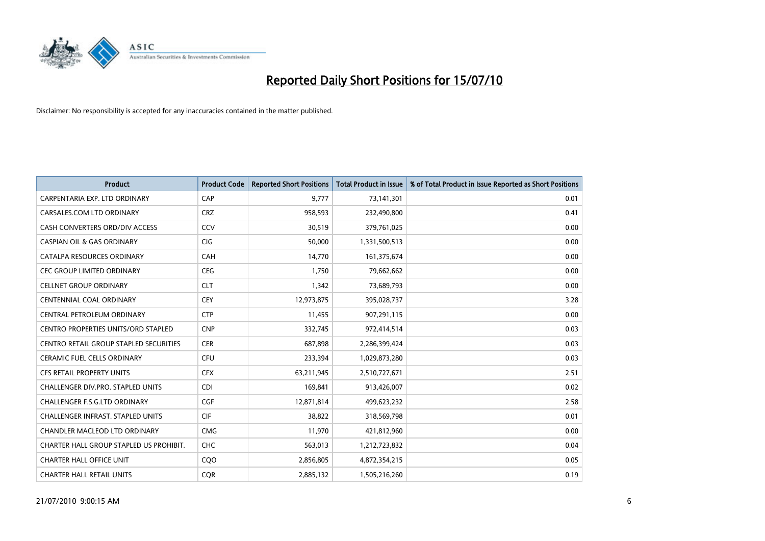

| <b>Product</b>                                | <b>Product Code</b> | <b>Reported Short Positions</b> | Total Product in Issue | % of Total Product in Issue Reported as Short Positions |
|-----------------------------------------------|---------------------|---------------------------------|------------------------|---------------------------------------------------------|
| CARPENTARIA EXP. LTD ORDINARY                 | CAP                 | 9,777                           | 73,141,301             | 0.01                                                    |
| CARSALES.COM LTD ORDINARY                     | <b>CRZ</b>          | 958,593                         | 232,490,800            | 0.41                                                    |
| CASH CONVERTERS ORD/DIV ACCESS                | CCV                 | 30,519                          | 379,761,025            | 0.00                                                    |
| <b>CASPIAN OIL &amp; GAS ORDINARY</b>         | CIG                 | 50,000                          | 1,331,500,513          | 0.00                                                    |
| CATALPA RESOURCES ORDINARY                    | CAH                 | 14,770                          | 161,375,674            | 0.00                                                    |
| <b>CEC GROUP LIMITED ORDINARY</b>             | <b>CEG</b>          | 1,750                           | 79,662,662             | 0.00                                                    |
| <b>CELLNET GROUP ORDINARY</b>                 | <b>CLT</b>          | 1,342                           | 73,689,793             | 0.00                                                    |
| CENTENNIAL COAL ORDINARY                      | <b>CEY</b>          | 12,973,875                      | 395,028,737            | 3.28                                                    |
| CENTRAL PETROLEUM ORDINARY                    | <b>CTP</b>          | 11,455                          | 907,291,115            | 0.00                                                    |
| <b>CENTRO PROPERTIES UNITS/ORD STAPLED</b>    | <b>CNP</b>          | 332,745                         | 972,414,514            | 0.03                                                    |
| <b>CENTRO RETAIL GROUP STAPLED SECURITIES</b> | <b>CER</b>          | 687,898                         | 2,286,399,424          | 0.03                                                    |
| <b>CERAMIC FUEL CELLS ORDINARY</b>            | <b>CFU</b>          | 233,394                         | 1,029,873,280          | 0.03                                                    |
| <b>CFS RETAIL PROPERTY UNITS</b>              | <b>CFX</b>          | 63,211,945                      | 2,510,727,671          | 2.51                                                    |
| <b>CHALLENGER DIV.PRO. STAPLED UNITS</b>      | <b>CDI</b>          | 169,841                         | 913,426,007            | 0.02                                                    |
| <b>CHALLENGER F.S.G.LTD ORDINARY</b>          | CGF                 | 12,871,814                      | 499,623,232            | 2.58                                                    |
| CHALLENGER INFRAST. STAPLED UNITS             | <b>CIF</b>          | 38,822                          | 318,569,798            | 0.01                                                    |
| CHANDLER MACLEOD LTD ORDINARY                 | <b>CMG</b>          | 11,970                          | 421,812,960            | 0.00                                                    |
| CHARTER HALL GROUP STAPLED US PROHIBIT.       | CHC                 | 563,013                         | 1,212,723,832          | 0.04                                                    |
| <b>CHARTER HALL OFFICE UNIT</b>               | C <sub>O</sub> O    | 2,856,805                       | 4,872,354,215          | 0.05                                                    |
| <b>CHARTER HALL RETAIL UNITS</b>              | <b>COR</b>          | 2,885,132                       | 1,505,216,260          | 0.19                                                    |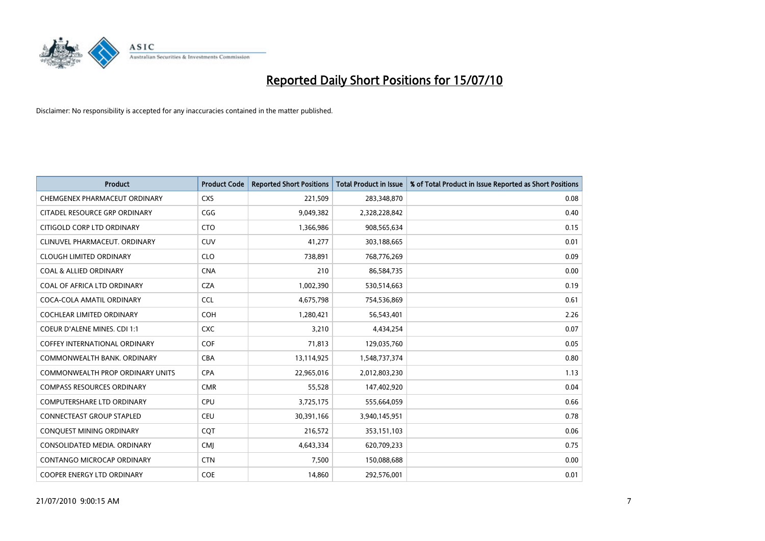

| <b>Product</b>                          | <b>Product Code</b> | <b>Reported Short Positions</b> | Total Product in Issue | % of Total Product in Issue Reported as Short Positions |
|-----------------------------------------|---------------------|---------------------------------|------------------------|---------------------------------------------------------|
| CHEMGENEX PHARMACEUT ORDINARY           | <b>CXS</b>          | 221,509                         | 283,348,870            | 0.08                                                    |
| CITADEL RESOURCE GRP ORDINARY           | CGG                 | 9,049,382                       | 2,328,228,842          | 0.40                                                    |
| CITIGOLD CORP LTD ORDINARY              | <b>CTO</b>          | 1,366,986                       | 908,565,634            | 0.15                                                    |
| CLINUVEL PHARMACEUT, ORDINARY           | <b>CUV</b>          | 41,277                          | 303,188,665            | 0.01                                                    |
| <b>CLOUGH LIMITED ORDINARY</b>          | <b>CLO</b>          | 738,891                         | 768,776,269            | 0.09                                                    |
| <b>COAL &amp; ALLIED ORDINARY</b>       | <b>CNA</b>          | 210                             | 86,584,735             | 0.00                                                    |
| COAL OF AFRICA LTD ORDINARY             | <b>CZA</b>          | 1,002,390                       | 530,514,663            | 0.19                                                    |
| COCA-COLA AMATIL ORDINARY               | <b>CCL</b>          | 4,675,798                       | 754,536,869            | 0.61                                                    |
| <b>COCHLEAR LIMITED ORDINARY</b>        | <b>COH</b>          | 1,280,421                       | 56,543,401             | 2.26                                                    |
| <b>COEUR D'ALENE MINES. CDI 1:1</b>     | <b>CXC</b>          | 3,210                           | 4,434,254              | 0.07                                                    |
| <b>COFFEY INTERNATIONAL ORDINARY</b>    | <b>COF</b>          | 71,813                          | 129,035,760            | 0.05                                                    |
| COMMONWEALTH BANK, ORDINARY             | <b>CBA</b>          | 13,114,925                      | 1,548,737,374          | 0.80                                                    |
| <b>COMMONWEALTH PROP ORDINARY UNITS</b> | <b>CPA</b>          | 22,965,016                      | 2,012,803,230          | 1.13                                                    |
| <b>COMPASS RESOURCES ORDINARY</b>       | <b>CMR</b>          | 55,528                          | 147,402,920            | 0.04                                                    |
| <b>COMPUTERSHARE LTD ORDINARY</b>       | <b>CPU</b>          | 3,725,175                       | 555,664,059            | 0.66                                                    |
| CONNECTEAST GROUP STAPLED               | <b>CEU</b>          | 30,391,166                      | 3,940,145,951          | 0.78                                                    |
| CONQUEST MINING ORDINARY                | CQT                 | 216,572                         | 353,151,103            | 0.06                                                    |
| CONSOLIDATED MEDIA, ORDINARY            | <b>CMI</b>          | 4,643,334                       | 620,709,233            | 0.75                                                    |
| <b>CONTANGO MICROCAP ORDINARY</b>       | <b>CTN</b>          | 7,500                           | 150,088,688            | 0.00                                                    |
| <b>COOPER ENERGY LTD ORDINARY</b>       | COE                 | 14,860                          | 292,576,001            | 0.01                                                    |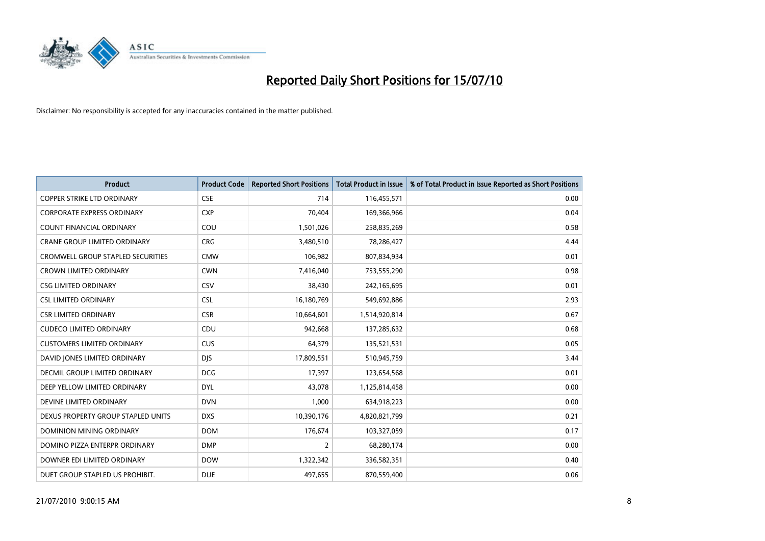

| <b>Product</b>                       | <b>Product Code</b> | <b>Reported Short Positions</b> | <b>Total Product in Issue</b> | % of Total Product in Issue Reported as Short Positions |
|--------------------------------------|---------------------|---------------------------------|-------------------------------|---------------------------------------------------------|
| <b>COPPER STRIKE LTD ORDINARY</b>    | <b>CSE</b>          | 714                             | 116,455,571                   | 0.00                                                    |
| <b>CORPORATE EXPRESS ORDINARY</b>    | <b>CXP</b>          | 70,404                          | 169,366,966                   | 0.04                                                    |
| COUNT FINANCIAL ORDINARY             | COU                 | 1,501,026                       | 258,835,269                   | 0.58                                                    |
| CRANE GROUP LIMITED ORDINARY         | <b>CRG</b>          | 3,480,510                       | 78,286,427                    | 4.44                                                    |
| CROMWELL GROUP STAPLED SECURITIES    | <b>CMW</b>          | 106,982                         | 807,834,934                   | 0.01                                                    |
| <b>CROWN LIMITED ORDINARY</b>        | <b>CWN</b>          | 7,416,040                       | 753,555,290                   | 0.98                                                    |
| <b>CSG LIMITED ORDINARY</b>          | CSV                 | 38,430                          | 242,165,695                   | 0.01                                                    |
| <b>CSL LIMITED ORDINARY</b>          | <b>CSL</b>          | 16,180,769                      | 549,692,886                   | 2.93                                                    |
| <b>CSR LIMITED ORDINARY</b>          | <b>CSR</b>          | 10,664,601                      | 1,514,920,814                 | 0.67                                                    |
| <b>CUDECO LIMITED ORDINARY</b>       | CDU                 | 942,668                         | 137,285,632                   | 0.68                                                    |
| <b>CUSTOMERS LIMITED ORDINARY</b>    | CUS                 | 64,379                          | 135,521,531                   | 0.05                                                    |
| DAVID JONES LIMITED ORDINARY         | <b>DJS</b>          | 17,809,551                      | 510,945,759                   | 3.44                                                    |
| <b>DECMIL GROUP LIMITED ORDINARY</b> | <b>DCG</b>          | 17,397                          | 123,654,568                   | 0.01                                                    |
| DEEP YELLOW LIMITED ORDINARY         | <b>DYL</b>          | 43,078                          | 1,125,814,458                 | 0.00                                                    |
| DEVINE LIMITED ORDINARY              | <b>DVN</b>          | 1,000                           | 634,918,223                   | 0.00                                                    |
| DEXUS PROPERTY GROUP STAPLED UNITS   | <b>DXS</b>          | 10,390,176                      | 4,820,821,799                 | 0.21                                                    |
| DOMINION MINING ORDINARY             | <b>DOM</b>          | 176,674                         | 103,327,059                   | 0.17                                                    |
| DOMINO PIZZA ENTERPR ORDINARY        | <b>DMP</b>          | $\overline{2}$                  | 68,280,174                    | 0.00                                                    |
| DOWNER EDI LIMITED ORDINARY          | <b>DOW</b>          | 1,322,342                       | 336,582,351                   | 0.40                                                    |
| DUET GROUP STAPLED US PROHIBIT.      | <b>DUE</b>          | 497,655                         | 870,559,400                   | 0.06                                                    |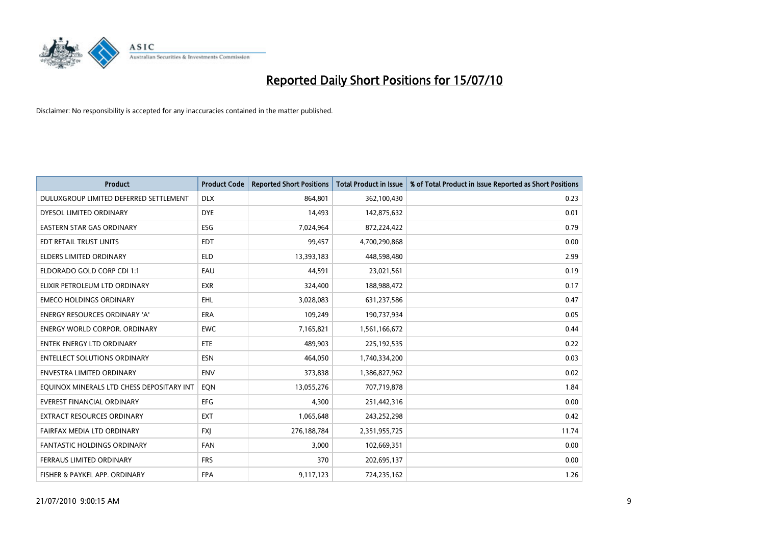

| <b>Product</b>                            | <b>Product Code</b> | <b>Reported Short Positions</b> | Total Product in Issue | % of Total Product in Issue Reported as Short Positions |
|-------------------------------------------|---------------------|---------------------------------|------------------------|---------------------------------------------------------|
| DULUXGROUP LIMITED DEFERRED SETTLEMENT    | <b>DLX</b>          | 864,801                         | 362,100,430            | 0.23                                                    |
| DYESOL LIMITED ORDINARY                   | <b>DYE</b>          | 14,493                          | 142,875,632            | 0.01                                                    |
| EASTERN STAR GAS ORDINARY                 | ESG                 | 7,024,964                       | 872,224,422            | 0.79                                                    |
| EDT RETAIL TRUST UNITS                    | <b>EDT</b>          | 99,457                          | 4,700,290,868          | 0.00                                                    |
| <b>ELDERS LIMITED ORDINARY</b>            | <b>ELD</b>          | 13,393,183                      | 448,598,480            | 2.99                                                    |
| ELDORADO GOLD CORP CDI 1:1                | EAU                 | 44,591                          | 23,021,561             | 0.19                                                    |
| ELIXIR PETROLEUM LTD ORDINARY             | <b>EXR</b>          | 324,400                         | 188,988,472            | 0.17                                                    |
| <b>EMECO HOLDINGS ORDINARY</b>            | <b>EHL</b>          | 3,028,083                       | 631,237,586            | 0.47                                                    |
| ENERGY RESOURCES ORDINARY 'A'             | <b>ERA</b>          | 109,249                         | 190,737,934            | 0.05                                                    |
| <b>ENERGY WORLD CORPOR, ORDINARY</b>      | <b>EWC</b>          | 7,165,821                       | 1,561,166,672          | 0.44                                                    |
| ENTEK ENERGY LTD ORDINARY                 | <b>ETE</b>          | 489,903                         | 225,192,535            | 0.22                                                    |
| <b>ENTELLECT SOLUTIONS ORDINARY</b>       | <b>ESN</b>          | 464,050                         | 1,740,334,200          | 0.03                                                    |
| ENVESTRA LIMITED ORDINARY                 | <b>ENV</b>          | 373,838                         | 1,386,827,962          | 0.02                                                    |
| EQUINOX MINERALS LTD CHESS DEPOSITARY INT | EON                 | 13,055,276                      | 707,719,878            | 1.84                                                    |
| <b>EVEREST FINANCIAL ORDINARY</b>         | <b>EFG</b>          | 4,300                           | 251,442,316            | 0.00                                                    |
| EXTRACT RESOURCES ORDINARY                | <b>EXT</b>          | 1,065,648                       | 243,252,298            | 0.42                                                    |
| FAIRFAX MEDIA LTD ORDINARY                | <b>FXI</b>          | 276,188,784                     | 2,351,955,725          | 11.74                                                   |
| <b>FANTASTIC HOLDINGS ORDINARY</b>        | <b>FAN</b>          | 3,000                           | 102,669,351            | 0.00                                                    |
| FERRAUS LIMITED ORDINARY                  | <b>FRS</b>          | 370                             | 202,695,137            | 0.00                                                    |
| FISHER & PAYKEL APP. ORDINARY             | <b>FPA</b>          | 9,117,123                       | 724,235,162            | 1.26                                                    |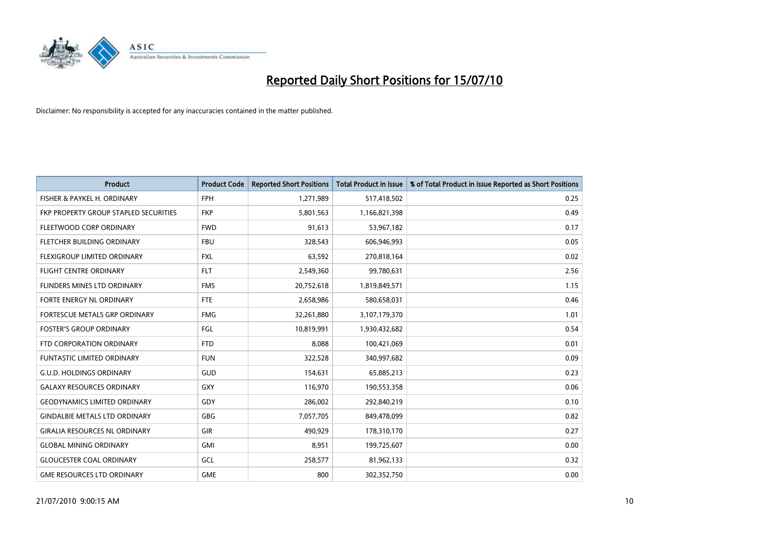

| <b>Product</b>                        | <b>Product Code</b> | <b>Reported Short Positions</b> | Total Product in Issue | % of Total Product in Issue Reported as Short Positions |
|---------------------------------------|---------------------|---------------------------------|------------------------|---------------------------------------------------------|
| FISHER & PAYKEL H. ORDINARY           | <b>FPH</b>          | 1,271,989                       | 517,418,502            | 0.25                                                    |
| FKP PROPERTY GROUP STAPLED SECURITIES | <b>FKP</b>          | 5,801,563                       | 1,166,821,398          | 0.49                                                    |
| FLEETWOOD CORP ORDINARY               | <b>FWD</b>          | 91,613                          | 53,967,182             | 0.17                                                    |
| FLETCHER BUILDING ORDINARY            | <b>FBU</b>          | 328,543                         | 606,946,993            | 0.05                                                    |
| FLEXIGROUP LIMITED ORDINARY           | <b>FXL</b>          | 63,592                          | 270,818,164            | 0.02                                                    |
| <b>FLIGHT CENTRE ORDINARY</b>         | <b>FLT</b>          | 2,549,360                       | 99,780,631             | 2.56                                                    |
| <b>FLINDERS MINES LTD ORDINARY</b>    | <b>FMS</b>          | 20,752,618                      | 1,819,849,571          | 1.15                                                    |
| FORTE ENERGY NL ORDINARY              | <b>FTE</b>          | 2,658,986                       | 580,658,031            | 0.46                                                    |
| FORTESCUE METALS GRP ORDINARY         | <b>FMG</b>          | 32,261,880                      | 3,107,179,370          | 1.01                                                    |
| <b>FOSTER'S GROUP ORDINARY</b>        | <b>FGL</b>          | 10,819,991                      | 1,930,432,682          | 0.54                                                    |
| FTD CORPORATION ORDINARY              | <b>FTD</b>          | 8,088                           | 100,421,069            | 0.01                                                    |
| <b>FUNTASTIC LIMITED ORDINARY</b>     | <b>FUN</b>          | 322,528                         | 340,997,682            | 0.09                                                    |
| <b>G.U.D. HOLDINGS ORDINARY</b>       | <b>GUD</b>          | 154,631                         | 65,885,213             | 0.23                                                    |
| <b>GALAXY RESOURCES ORDINARY</b>      | GXY                 | 116,970                         | 190,553,358            | 0.06                                                    |
| <b>GEODYNAMICS LIMITED ORDINARY</b>   | GDY                 | 286,002                         | 292,840,219            | 0.10                                                    |
| <b>GINDALBIE METALS LTD ORDINARY</b>  | <b>GBG</b>          | 7,057,705                       | 849,478,099            | 0.82                                                    |
| <b>GIRALIA RESOURCES NL ORDINARY</b>  | GIR                 | 490,929                         | 178,310,170            | 0.27                                                    |
| <b>GLOBAL MINING ORDINARY</b>         | <b>GMI</b>          | 8,951                           | 199,725,607            | 0.00                                                    |
| <b>GLOUCESTER COAL ORDINARY</b>       | GCL                 | 258,577                         | 81,962,133             | 0.32                                                    |
| <b>GME RESOURCES LTD ORDINARY</b>     | <b>GME</b>          | 800                             | 302,352,750            | 0.00                                                    |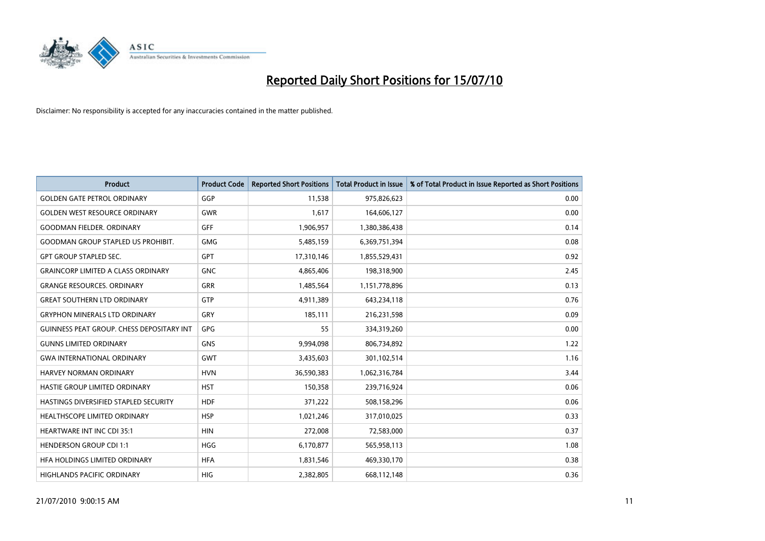

| <b>Product</b>                                   | <b>Product Code</b> | <b>Reported Short Positions</b> | Total Product in Issue | % of Total Product in Issue Reported as Short Positions |
|--------------------------------------------------|---------------------|---------------------------------|------------------------|---------------------------------------------------------|
| <b>GOLDEN GATE PETROL ORDINARY</b>               | GGP                 | 11,538                          | 975,826,623            | 0.00                                                    |
| <b>GOLDEN WEST RESOURCE ORDINARY</b>             | <b>GWR</b>          | 1,617                           | 164,606,127            | 0.00                                                    |
| <b>GOODMAN FIELDER, ORDINARY</b>                 | <b>GFF</b>          | 1,906,957                       | 1,380,386,438          | 0.14                                                    |
| <b>GOODMAN GROUP STAPLED US PROHIBIT.</b>        | <b>GMG</b>          | 5,485,159                       | 6,369,751,394          | 0.08                                                    |
| <b>GPT GROUP STAPLED SEC.</b>                    | <b>GPT</b>          | 17,310,146                      | 1,855,529,431          | 0.92                                                    |
| <b>GRAINCORP LIMITED A CLASS ORDINARY</b>        | <b>GNC</b>          | 4,865,406                       | 198,318,900            | 2.45                                                    |
| <b>GRANGE RESOURCES. ORDINARY</b>                | <b>GRR</b>          | 1,485,564                       | 1,151,778,896          | 0.13                                                    |
| <b>GREAT SOUTHERN LTD ORDINARY</b>               | <b>GTP</b>          | 4,911,389                       | 643,234,118            | 0.76                                                    |
| <b>GRYPHON MINERALS LTD ORDINARY</b>             | GRY                 | 185,111                         | 216,231,598            | 0.09                                                    |
| <b>GUINNESS PEAT GROUP. CHESS DEPOSITARY INT</b> | <b>GPG</b>          | 55                              | 334,319,260            | 0.00                                                    |
| <b>GUNNS LIMITED ORDINARY</b>                    | <b>GNS</b>          | 9,994,098                       | 806,734,892            | 1.22                                                    |
| <b>GWA INTERNATIONAL ORDINARY</b>                | <b>GWT</b>          | 3,435,603                       | 301,102,514            | 1.16                                                    |
| HARVEY NORMAN ORDINARY                           | <b>HVN</b>          | 36,590,383                      | 1,062,316,784          | 3.44                                                    |
| HASTIE GROUP LIMITED ORDINARY                    | <b>HST</b>          | 150,358                         | 239,716,924            | 0.06                                                    |
| HASTINGS DIVERSIFIED STAPLED SECURITY            | <b>HDF</b>          | 371,222                         | 508,158,296            | 0.06                                                    |
| <b>HEALTHSCOPE LIMITED ORDINARY</b>              | <b>HSP</b>          | 1,021,246                       | 317,010,025            | 0.33                                                    |
| HEARTWARE INT INC CDI 35:1                       | <b>HIN</b>          | 272,008                         | 72,583,000             | 0.37                                                    |
| <b>HENDERSON GROUP CDI 1:1</b>                   | <b>HGG</b>          | 6,170,877                       | 565,958,113            | 1.08                                                    |
| HFA HOLDINGS LIMITED ORDINARY                    | <b>HFA</b>          | 1,831,546                       | 469,330,170            | 0.38                                                    |
| HIGHLANDS PACIFIC ORDINARY                       | <b>HIG</b>          | 2,382,805                       | 668,112,148            | 0.36                                                    |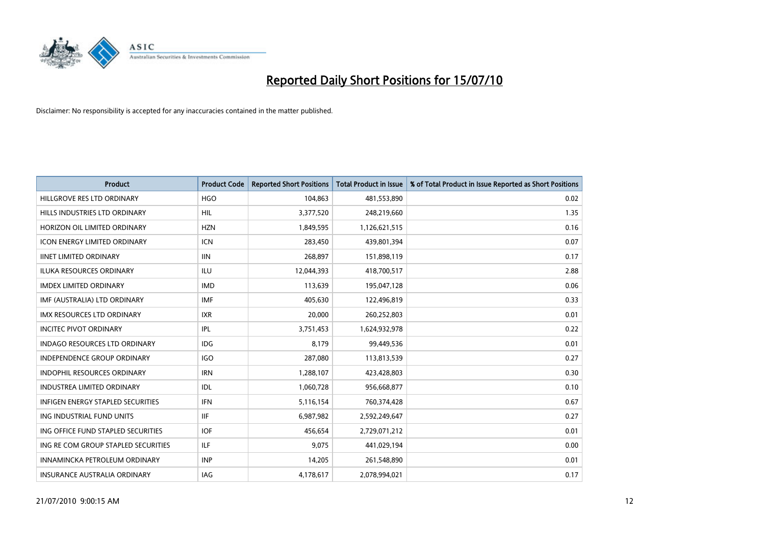

| <b>Product</b>                           | <b>Product Code</b> | <b>Reported Short Positions</b> | Total Product in Issue | % of Total Product in Issue Reported as Short Positions |
|------------------------------------------|---------------------|---------------------------------|------------------------|---------------------------------------------------------|
| HILLGROVE RES LTD ORDINARY               | <b>HGO</b>          | 104,863                         | 481,553,890            | 0.02                                                    |
| HILLS INDUSTRIES LTD ORDINARY            | HIL                 | 3,377,520                       | 248,219,660            | 1.35                                                    |
| HORIZON OIL LIMITED ORDINARY             | <b>HZN</b>          | 1,849,595                       | 1,126,621,515          | 0.16                                                    |
| ICON ENERGY LIMITED ORDINARY             | <b>ICN</b>          | 283,450                         | 439,801,394            | 0.07                                                    |
| <b>IINET LIMITED ORDINARY</b>            | <b>IIN</b>          | 268,897                         | 151,898,119            | 0.17                                                    |
| <b>ILUKA RESOURCES ORDINARY</b>          | <b>ILU</b>          | 12,044,393                      | 418,700,517            | 2.88                                                    |
| <b>IMDEX LIMITED ORDINARY</b>            | <b>IMD</b>          | 113,639                         | 195,047,128            | 0.06                                                    |
| IMF (AUSTRALIA) LTD ORDINARY             | <b>IMF</b>          | 405,630                         | 122,496,819            | 0.33                                                    |
| <b>IMX RESOURCES LTD ORDINARY</b>        | <b>IXR</b>          | 20,000                          | 260,252,803            | 0.01                                                    |
| <b>INCITEC PIVOT ORDINARY</b>            | IPL                 | 3,751,453                       | 1,624,932,978          | 0.22                                                    |
| INDAGO RESOURCES LTD ORDINARY            | <b>IDG</b>          | 8,179                           | 99,449,536             | 0.01                                                    |
| <b>INDEPENDENCE GROUP ORDINARY</b>       | <b>IGO</b>          | 287,080                         | 113,813,539            | 0.27                                                    |
| INDOPHIL RESOURCES ORDINARY              | <b>IRN</b>          | 1,288,107                       | 423,428,803            | 0.30                                                    |
| <b>INDUSTREA LIMITED ORDINARY</b>        | <b>IDL</b>          | 1,060,728                       | 956,668,877            | 0.10                                                    |
| <b>INFIGEN ENERGY STAPLED SECURITIES</b> | <b>IFN</b>          | 5,116,154                       | 760,374,428            | 0.67                                                    |
| ING INDUSTRIAL FUND UNITS                | <b>IIF</b>          | 6,987,982                       | 2,592,249,647          | 0.27                                                    |
| ING OFFICE FUND STAPLED SECURITIES       | <b>IOF</b>          | 456,654                         | 2,729,071,212          | 0.01                                                    |
| ING RE COM GROUP STAPLED SECURITIES      | <b>ILF</b>          | 9,075                           | 441,029,194            | 0.00                                                    |
| INNAMINCKA PETROLEUM ORDINARY            | <b>INP</b>          | 14,205                          | 261,548,890            | 0.01                                                    |
| INSURANCE AUSTRALIA ORDINARY             | <b>IAG</b>          | 4,178,617                       | 2,078,994,021          | 0.17                                                    |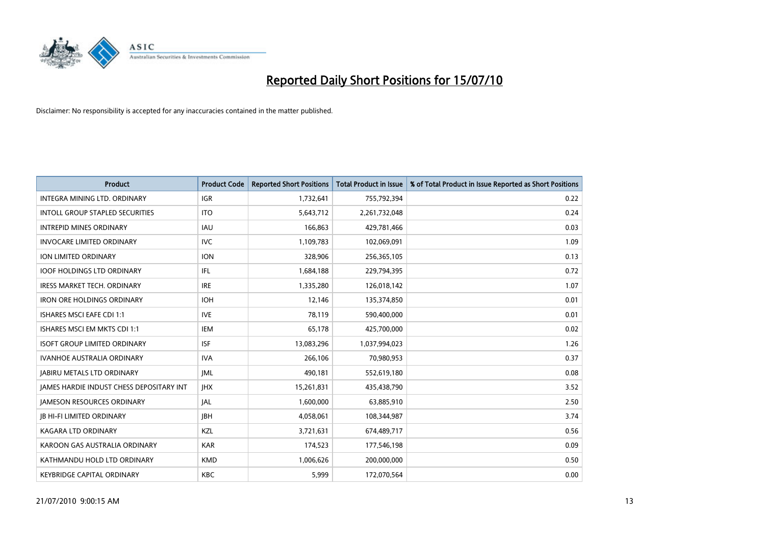

| <b>Product</b>                                  | <b>Product Code</b> | <b>Reported Short Positions</b> | <b>Total Product in Issue</b> | % of Total Product in Issue Reported as Short Positions |
|-------------------------------------------------|---------------------|---------------------------------|-------------------------------|---------------------------------------------------------|
| INTEGRA MINING LTD, ORDINARY                    | <b>IGR</b>          | 1,732,641                       | 755,792,394                   | 0.22                                                    |
| INTOLL GROUP STAPLED SECURITIES                 | <b>ITO</b>          | 5,643,712                       | 2,261,732,048                 | 0.24                                                    |
| <b>INTREPID MINES ORDINARY</b>                  | <b>IAU</b>          | 166,863                         | 429,781,466                   | 0.03                                                    |
| <b>INVOCARE LIMITED ORDINARY</b>                | <b>IVC</b>          | 1,109,783                       | 102,069,091                   | 1.09                                                    |
| <b>ION LIMITED ORDINARY</b>                     | <b>ION</b>          | 328,906                         | 256,365,105                   | 0.13                                                    |
| <b>IOOF HOLDINGS LTD ORDINARY</b>               | IFL.                | 1,684,188                       | 229,794,395                   | 0.72                                                    |
| <b>IRESS MARKET TECH. ORDINARY</b>              | <b>IRE</b>          | 1,335,280                       | 126,018,142                   | 1.07                                                    |
| <b>IRON ORE HOLDINGS ORDINARY</b>               | <b>IOH</b>          | 12,146                          | 135,374,850                   | 0.01                                                    |
| ISHARES MSCI EAFE CDI 1:1                       | <b>IVE</b>          | 78,119                          | 590,400,000                   | 0.01                                                    |
| ISHARES MSCI EM MKTS CDI 1:1                    | <b>IEM</b>          | 65,178                          | 425,700,000                   | 0.02                                                    |
| <b>ISOFT GROUP LIMITED ORDINARY</b>             | <b>ISF</b>          | 13,083,296                      | 1,037,994,023                 | 1.26                                                    |
| <b>IVANHOE AUSTRALIA ORDINARY</b>               | <b>IVA</b>          | 266,106                         | 70,980,953                    | 0.37                                                    |
| <b>JABIRU METALS LTD ORDINARY</b>               | <b>JML</b>          | 490,181                         | 552,619,180                   | 0.08                                                    |
| <b>JAMES HARDIE INDUST CHESS DEPOSITARY INT</b> | <b>IHX</b>          | 15,261,831                      | 435,438,790                   | 3.52                                                    |
| <b>JAMESON RESOURCES ORDINARY</b>               | <b>JAL</b>          | 1,600,000                       | 63,885,910                    | 2.50                                                    |
| <b>JB HI-FI LIMITED ORDINARY</b>                | <b>JBH</b>          | 4,058,061                       | 108,344,987                   | 3.74                                                    |
| <b>KAGARA LTD ORDINARY</b>                      | KZL                 | 3,721,631                       | 674,489,717                   | 0.56                                                    |
| KAROON GAS AUSTRALIA ORDINARY                   | <b>KAR</b>          | 174,523                         | 177,546,198                   | 0.09                                                    |
| KATHMANDU HOLD LTD ORDINARY                     | <b>KMD</b>          | 1,006,626                       | 200,000,000                   | 0.50                                                    |
| <b>KEYBRIDGE CAPITAL ORDINARY</b>               | <b>KBC</b>          | 5,999                           | 172,070,564                   | 0.00                                                    |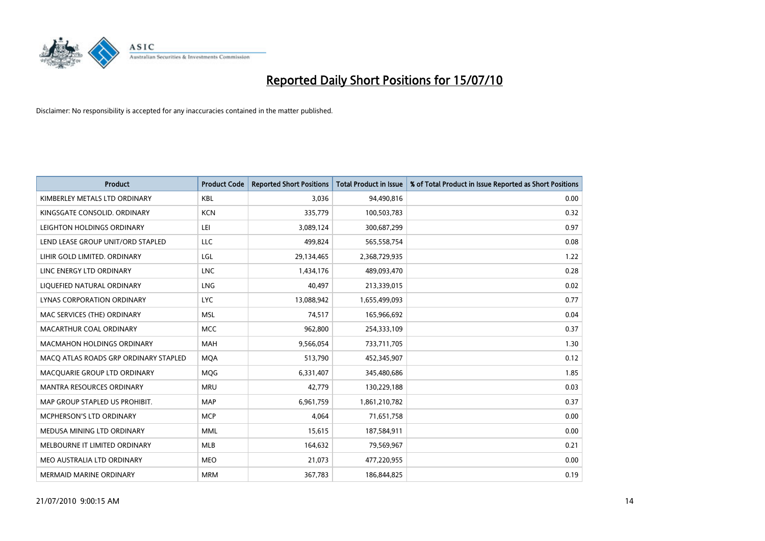

| <b>Product</b>                        | <b>Product Code</b> | <b>Reported Short Positions</b> | Total Product in Issue | % of Total Product in Issue Reported as Short Positions |
|---------------------------------------|---------------------|---------------------------------|------------------------|---------------------------------------------------------|
| KIMBERLEY METALS LTD ORDINARY         | <b>KBL</b>          | 3,036                           | 94,490,816             | 0.00                                                    |
| KINGSGATE CONSOLID. ORDINARY          | <b>KCN</b>          | 335,779                         | 100,503,783            | 0.32                                                    |
| LEIGHTON HOLDINGS ORDINARY            | LEI                 | 3,089,124                       | 300,687,299            | 0.97                                                    |
| LEND LEASE GROUP UNIT/ORD STAPLED     | LLC                 | 499,824                         | 565,558,754            | 0.08                                                    |
| LIHIR GOLD LIMITED. ORDINARY          | LGL                 | 29,134,465                      | 2,368,729,935          | 1.22                                                    |
| LINC ENERGY LTD ORDINARY              | <b>LNC</b>          | 1,434,176                       | 489,093,470            | 0.28                                                    |
| LIQUEFIED NATURAL ORDINARY            | LNG                 | 40,497                          | 213,339,015            | 0.02                                                    |
| LYNAS CORPORATION ORDINARY            | <b>LYC</b>          | 13,088,942                      | 1,655,499,093          | 0.77                                                    |
| MAC SERVICES (THE) ORDINARY           | <b>MSL</b>          | 74,517                          | 165,966,692            | 0.04                                                    |
| MACARTHUR COAL ORDINARY               | <b>MCC</b>          | 962,800                         | 254,333,109            | 0.37                                                    |
| MACMAHON HOLDINGS ORDINARY            | <b>MAH</b>          | 9,566,054                       | 733,711,705            | 1.30                                                    |
| MACQ ATLAS ROADS GRP ORDINARY STAPLED | <b>MQA</b>          | 513,790                         | 452,345,907            | 0.12                                                    |
| MACQUARIE GROUP LTD ORDINARY          | MQG                 | 6,331,407                       | 345,480,686            | 1.85                                                    |
| <b>MANTRA RESOURCES ORDINARY</b>      | <b>MRU</b>          | 42,779                          | 130,229,188            | 0.03                                                    |
| MAP GROUP STAPLED US PROHIBIT.        | <b>MAP</b>          | 6,961,759                       | 1,861,210,782          | 0.37                                                    |
| MCPHERSON'S LTD ORDINARY              | <b>MCP</b>          | 4,064                           | 71,651,758             | 0.00                                                    |
| MEDUSA MINING LTD ORDINARY            | <b>MML</b>          | 15,615                          | 187,584,911            | 0.00                                                    |
| MELBOURNE IT LIMITED ORDINARY         | <b>MLB</b>          | 164,632                         | 79,569,967             | 0.21                                                    |
| MEO AUSTRALIA LTD ORDINARY            | <b>MEO</b>          | 21,073                          | 477,220,955            | 0.00                                                    |
| MERMAID MARINE ORDINARY               | <b>MRM</b>          | 367,783                         | 186,844,825            | 0.19                                                    |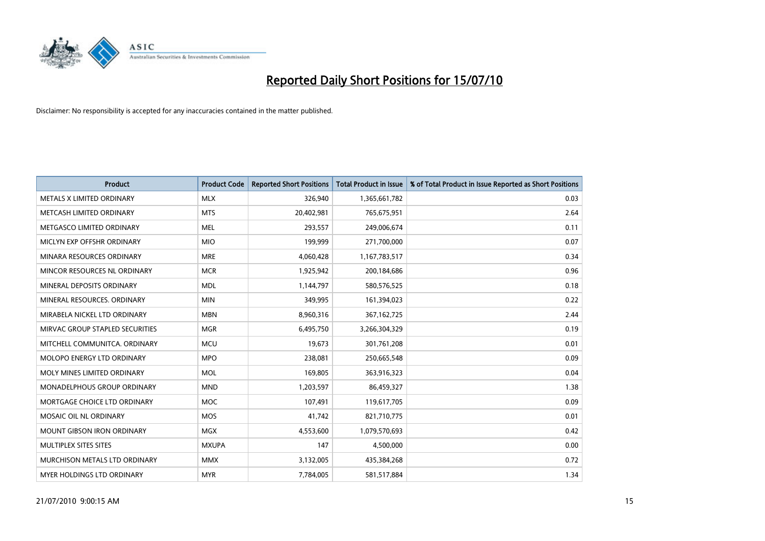

| <b>Product</b>                    | <b>Product Code</b> | <b>Reported Short Positions</b> | <b>Total Product in Issue</b> | % of Total Product in Issue Reported as Short Positions |
|-----------------------------------|---------------------|---------------------------------|-------------------------------|---------------------------------------------------------|
| METALS X LIMITED ORDINARY         | <b>MLX</b>          | 326,940                         | 1,365,661,782                 | 0.03                                                    |
| METCASH LIMITED ORDINARY          | <b>MTS</b>          | 20,402,981                      | 765,675,951                   | 2.64                                                    |
| METGASCO LIMITED ORDINARY         | <b>MEL</b>          | 293,557                         | 249,006,674                   | 0.11                                                    |
| MICLYN EXP OFFSHR ORDINARY        | <b>MIO</b>          | 199,999                         | 271,700,000                   | 0.07                                                    |
| MINARA RESOURCES ORDINARY         | <b>MRE</b>          | 4,060,428                       | 1,167,783,517                 | 0.34                                                    |
| MINCOR RESOURCES NL ORDINARY      | <b>MCR</b>          | 1,925,942                       | 200,184,686                   | 0.96                                                    |
| MINERAL DEPOSITS ORDINARY         | <b>MDL</b>          | 1,144,797                       | 580,576,525                   | 0.18                                                    |
| MINERAL RESOURCES. ORDINARY       | <b>MIN</b>          | 349,995                         | 161,394,023                   | 0.22                                                    |
| MIRABELA NICKEL LTD ORDINARY      | <b>MBN</b>          | 8,960,316                       | 367, 162, 725                 | 2.44                                                    |
| MIRVAC GROUP STAPLED SECURITIES   | <b>MGR</b>          | 6,495,750                       | 3,266,304,329                 | 0.19                                                    |
| MITCHELL COMMUNITCA. ORDINARY     | <b>MCU</b>          | 19,673                          | 301,761,208                   | 0.01                                                    |
| <b>MOLOPO ENERGY LTD ORDINARY</b> | <b>MPO</b>          | 238,081                         | 250,665,548                   | 0.09                                                    |
| MOLY MINES LIMITED ORDINARY       | <b>MOL</b>          | 169,805                         | 363,916,323                   | 0.04                                                    |
| MONADELPHOUS GROUP ORDINARY       | <b>MND</b>          | 1,203,597                       | 86,459,327                    | 1.38                                                    |
| MORTGAGE CHOICE LTD ORDINARY      | <b>MOC</b>          | 107,491                         | 119,617,705                   | 0.09                                                    |
| MOSAIC OIL NL ORDINARY            | <b>MOS</b>          | 41,742                          | 821,710,775                   | 0.01                                                    |
| <b>MOUNT GIBSON IRON ORDINARY</b> | <b>MGX</b>          | 4,553,600                       | 1,079,570,693                 | 0.42                                                    |
| MULTIPLEX SITES SITES             | <b>MXUPA</b>        | 147                             | 4,500,000                     | 0.00                                                    |
| MURCHISON METALS LTD ORDINARY     | <b>MMX</b>          | 3,132,005                       | 435,384,268                   | 0.72                                                    |
| <b>MYER HOLDINGS LTD ORDINARY</b> | <b>MYR</b>          | 7,784,005                       | 581,517,884                   | 1.34                                                    |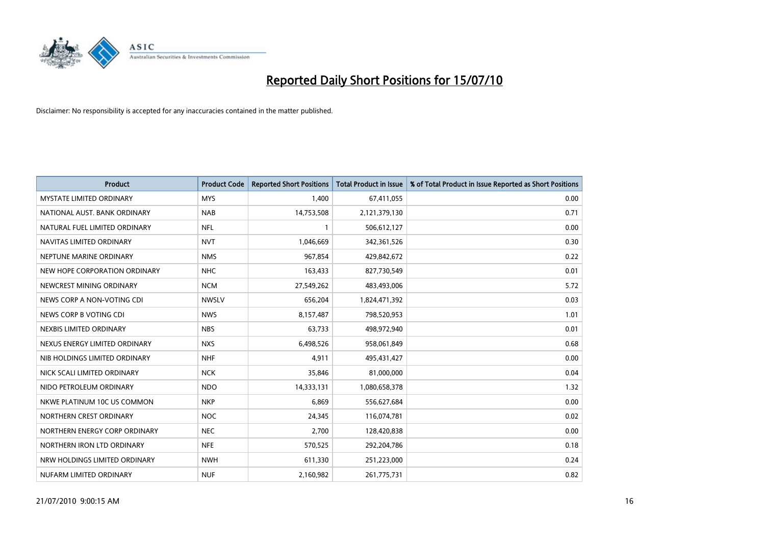

| <b>Product</b>                  | <b>Product Code</b> | <b>Reported Short Positions</b> | Total Product in Issue | % of Total Product in Issue Reported as Short Positions |
|---------------------------------|---------------------|---------------------------------|------------------------|---------------------------------------------------------|
| <b>MYSTATE LIMITED ORDINARY</b> | <b>MYS</b>          | 1,400                           | 67,411,055             | 0.00                                                    |
| NATIONAL AUST. BANK ORDINARY    | <b>NAB</b>          | 14,753,508                      | 2,121,379,130          | 0.71                                                    |
| NATURAL FUEL LIMITED ORDINARY   | <b>NFL</b>          |                                 | 506,612,127            | 0.00                                                    |
| NAVITAS LIMITED ORDINARY        | <b>NVT</b>          | 1,046,669                       | 342,361,526            | 0.30                                                    |
| NEPTUNE MARINE ORDINARY         | <b>NMS</b>          | 967,854                         | 429,842,672            | 0.22                                                    |
| NEW HOPE CORPORATION ORDINARY   | <b>NHC</b>          | 163,433                         | 827,730,549            | 0.01                                                    |
| NEWCREST MINING ORDINARY        | <b>NCM</b>          | 27,549,262                      | 483,493,006            | 5.72                                                    |
| NEWS CORP A NON-VOTING CDI      | <b>NWSLV</b>        | 656,204                         | 1,824,471,392          | 0.03                                                    |
| NEWS CORP B VOTING CDI          | <b>NWS</b>          | 8,157,487                       | 798,520,953            | 1.01                                                    |
| NEXBIS LIMITED ORDINARY         | <b>NBS</b>          | 63,733                          | 498,972,940            | 0.01                                                    |
| NEXUS ENERGY LIMITED ORDINARY   | <b>NXS</b>          | 6,498,526                       | 958,061,849            | 0.68                                                    |
| NIB HOLDINGS LIMITED ORDINARY   | <b>NHF</b>          | 4,911                           | 495,431,427            | 0.00                                                    |
| NICK SCALI LIMITED ORDINARY     | <b>NCK</b>          | 35,846                          | 81,000,000             | 0.04                                                    |
| NIDO PETROLEUM ORDINARY         | <b>NDO</b>          | 14,333,131                      | 1,080,658,378          | 1.32                                                    |
| NKWE PLATINUM 10C US COMMON     | <b>NKP</b>          | 6,869                           | 556,627,684            | 0.00                                                    |
| NORTHERN CREST ORDINARY         | <b>NOC</b>          | 24,345                          | 116,074,781            | 0.02                                                    |
| NORTHERN ENERGY CORP ORDINARY   | <b>NEC</b>          | 2,700                           | 128,420,838            | 0.00                                                    |
| NORTHERN IRON LTD ORDINARY      | <b>NFE</b>          | 570,525                         | 292,204,786            | 0.18                                                    |
| NRW HOLDINGS LIMITED ORDINARY   | <b>NWH</b>          | 611,330                         | 251,223,000            | 0.24                                                    |
| NUFARM LIMITED ORDINARY         | <b>NUF</b>          | 2,160,982                       | 261,775,731            | 0.82                                                    |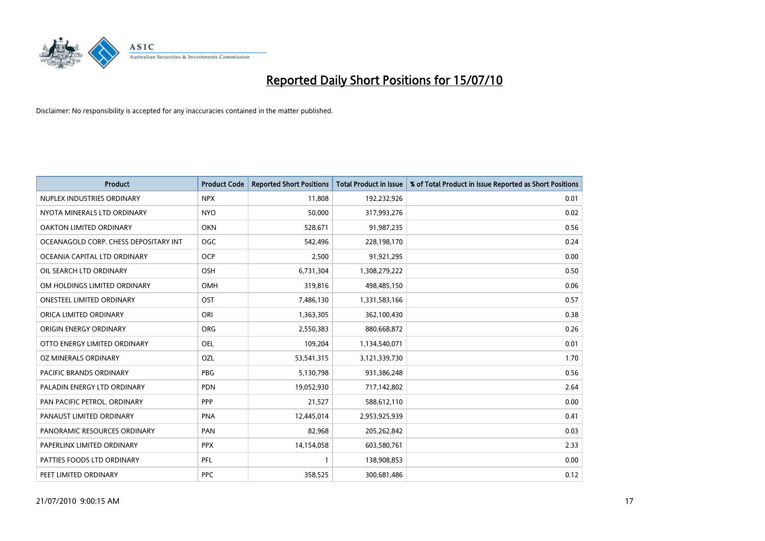

| <b>Product</b>                        | <b>Product Code</b> | <b>Reported Short Positions</b> | Total Product in Issue | % of Total Product in Issue Reported as Short Positions |
|---------------------------------------|---------------------|---------------------------------|------------------------|---------------------------------------------------------|
| NUPLEX INDUSTRIES ORDINARY            | <b>NPX</b>          | 11,808                          | 192,232,926            | 0.01                                                    |
| NYOTA MINERALS LTD ORDINARY           | <b>NYO</b>          | 50,000                          | 317,993,276            | 0.02                                                    |
| OAKTON LIMITED ORDINARY               | <b>OKN</b>          | 528,671                         | 91,987,235             | 0.56                                                    |
| OCEANAGOLD CORP. CHESS DEPOSITARY INT | <b>OGC</b>          | 542,496                         | 228,198,170            | 0.24                                                    |
| OCEANIA CAPITAL LTD ORDINARY          | <b>OCP</b>          | 2,500                           | 91,921,295             | 0.00                                                    |
| OIL SEARCH LTD ORDINARY               | <b>OSH</b>          | 6,731,304                       | 1,308,279,222          | 0.50                                                    |
| OM HOLDINGS LIMITED ORDINARY          | <b>OMH</b>          | 319,816                         | 498,485,150            | 0.06                                                    |
| ONESTEEL LIMITED ORDINARY             | OST                 | 7,486,130                       | 1,331,583,166          | 0.57                                                    |
| ORICA LIMITED ORDINARY                | ORI                 | 1,363,305                       | 362,100,430            | 0.38                                                    |
| ORIGIN ENERGY ORDINARY                | <b>ORG</b>          | 2,550,383                       | 880,668,872            | 0.26                                                    |
| OTTO ENERGY LIMITED ORDINARY          | <b>OEL</b>          | 109,204                         | 1,134,540,071          | 0.01                                                    |
| OZ MINERALS ORDINARY                  | OZL                 | 53,541,315                      | 3,121,339,730          | 1.70                                                    |
| PACIFIC BRANDS ORDINARY               | <b>PBG</b>          | 5,130,798                       | 931,386,248            | 0.56                                                    |
| PALADIN ENERGY LTD ORDINARY           | <b>PDN</b>          | 19,052,930                      | 717,142,802            | 2.64                                                    |
| PAN PACIFIC PETROL. ORDINARY          | PPP                 | 21,527                          | 588,612,110            | 0.00                                                    |
| PANAUST LIMITED ORDINARY              | <b>PNA</b>          | 12,445,014                      | 2,953,925,939          | 0.41                                                    |
| PANORAMIC RESOURCES ORDINARY          | PAN                 | 82,968                          | 205,262,842            | 0.03                                                    |
| PAPERLINX LIMITED ORDINARY            | <b>PPX</b>          | 14,154,058                      | 603,580,761            | 2.33                                                    |
| PATTIES FOODS LTD ORDINARY            | PFL                 |                                 | 138,908,853            | 0.00                                                    |
| PEET LIMITED ORDINARY                 | <b>PPC</b>          | 358,525                         | 300,681,486            | 0.12                                                    |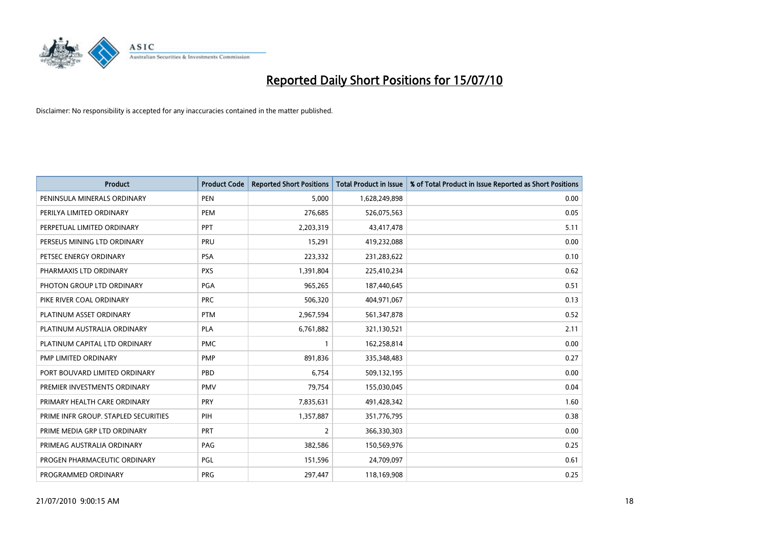

| <b>Product</b>                       | <b>Product Code</b> | <b>Reported Short Positions</b> | <b>Total Product in Issue</b> | % of Total Product in Issue Reported as Short Positions |
|--------------------------------------|---------------------|---------------------------------|-------------------------------|---------------------------------------------------------|
| PENINSULA MINERALS ORDINARY          | <b>PEN</b>          | 5,000                           | 1,628,249,898                 | 0.00                                                    |
| PERILYA LIMITED ORDINARY             | PEM                 | 276,685                         | 526,075,563                   | 0.05                                                    |
| PERPETUAL LIMITED ORDINARY           | PPT                 | 2,203,319                       | 43,417,478                    | 5.11                                                    |
| PERSEUS MINING LTD ORDINARY          | PRU                 | 15,291                          | 419,232,088                   | 0.00                                                    |
| PETSEC ENERGY ORDINARY               | <b>PSA</b>          | 223,332                         | 231,283,622                   | 0.10                                                    |
| PHARMAXIS LTD ORDINARY               | <b>PXS</b>          | 1,391,804                       | 225,410,234                   | 0.62                                                    |
| PHOTON GROUP LTD ORDINARY            | <b>PGA</b>          | 965,265                         | 187,440,645                   | 0.51                                                    |
| PIKE RIVER COAL ORDINARY             | <b>PRC</b>          | 506,320                         | 404,971,067                   | 0.13                                                    |
| PLATINUM ASSET ORDINARY              | <b>PTM</b>          | 2,967,594                       | 561,347,878                   | 0.52                                                    |
| PLATINUM AUSTRALIA ORDINARY          | <b>PLA</b>          | 6,761,882                       | 321,130,521                   | 2.11                                                    |
| PLATINUM CAPITAL LTD ORDINARY        | <b>PMC</b>          |                                 | 162,258,814                   | 0.00                                                    |
| PMP LIMITED ORDINARY                 | <b>PMP</b>          | 891,836                         | 335,348,483                   | 0.27                                                    |
| PORT BOUVARD LIMITED ORDINARY        | PBD                 | 6,754                           | 509,132,195                   | 0.00                                                    |
| PREMIER INVESTMENTS ORDINARY         | <b>PMV</b>          | 79,754                          | 155,030,045                   | 0.04                                                    |
| PRIMARY HEALTH CARE ORDINARY         | <b>PRY</b>          | 7,835,631                       | 491,428,342                   | 1.60                                                    |
| PRIME INFR GROUP. STAPLED SECURITIES | PIH                 | 1,357,887                       | 351,776,795                   | 0.38                                                    |
| PRIME MEDIA GRP LTD ORDINARY         | PRT                 | $\overline{2}$                  | 366,330,303                   | 0.00                                                    |
| PRIMEAG AUSTRALIA ORDINARY           | PAG                 | 382,586                         | 150,569,976                   | 0.25                                                    |
| PROGEN PHARMACEUTIC ORDINARY         | PGL                 | 151,596                         | 24,709,097                    | 0.61                                                    |
| PROGRAMMED ORDINARY                  | <b>PRG</b>          | 297,447                         | 118,169,908                   | 0.25                                                    |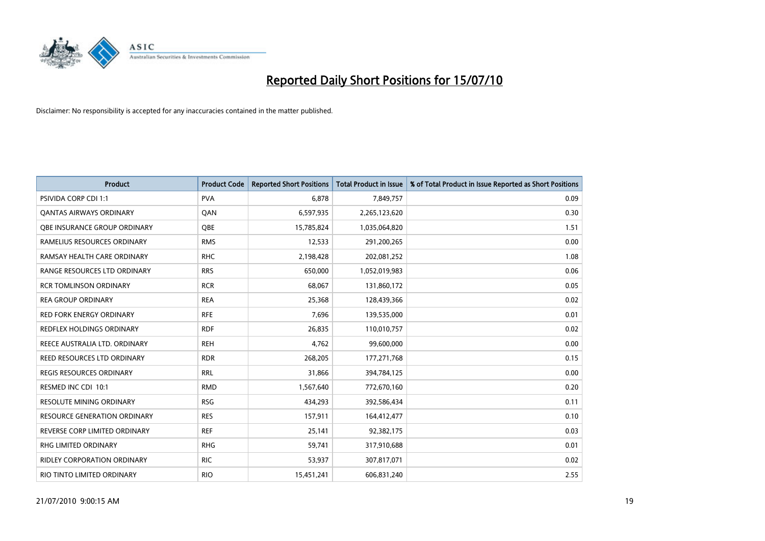

| <b>Product</b>                      | <b>Product Code</b> | <b>Reported Short Positions</b> | Total Product in Issue | % of Total Product in Issue Reported as Short Positions |
|-------------------------------------|---------------------|---------------------------------|------------------------|---------------------------------------------------------|
| <b>PSIVIDA CORP CDI 1:1</b>         | <b>PVA</b>          | 6,878                           | 7,849,757              | 0.09                                                    |
| <b>QANTAS AIRWAYS ORDINARY</b>      | QAN                 | 6,597,935                       | 2,265,123,620          | 0.30                                                    |
| QBE INSURANCE GROUP ORDINARY        | OBE                 | 15,785,824                      | 1,035,064,820          | 1.51                                                    |
| RAMELIUS RESOURCES ORDINARY         | <b>RMS</b>          | 12,533                          | 291,200,265            | 0.00                                                    |
| RAMSAY HEALTH CARE ORDINARY         | <b>RHC</b>          | 2,198,428                       | 202,081,252            | 1.08                                                    |
| RANGE RESOURCES LTD ORDINARY        | <b>RRS</b>          | 650,000                         | 1,052,019,983          | 0.06                                                    |
| <b>RCR TOMLINSON ORDINARY</b>       | <b>RCR</b>          | 68,067                          | 131,860,172            | 0.05                                                    |
| <b>REA GROUP ORDINARY</b>           | <b>REA</b>          | 25,368                          | 128,439,366            | 0.02                                                    |
| <b>RED FORK ENERGY ORDINARY</b>     | <b>RFE</b>          | 7,696                           | 139,535,000            | 0.01                                                    |
| <b>REDFLEX HOLDINGS ORDINARY</b>    | <b>RDF</b>          | 26,835                          | 110,010,757            | 0.02                                                    |
| REECE AUSTRALIA LTD. ORDINARY       | <b>REH</b>          | 4,762                           | 99,600,000             | 0.00                                                    |
| REED RESOURCES LTD ORDINARY         | <b>RDR</b>          | 268,205                         | 177,271,768            | 0.15                                                    |
| REGIS RESOURCES ORDINARY            | <b>RRL</b>          | 31,866                          | 394,784,125            | 0.00                                                    |
| RESMED INC CDI 10:1                 | <b>RMD</b>          | 1,567,640                       | 772,670,160            | 0.20                                                    |
| <b>RESOLUTE MINING ORDINARY</b>     | <b>RSG</b>          | 434,293                         | 392,586,434            | 0.11                                                    |
| <b>RESOURCE GENERATION ORDINARY</b> | <b>RES</b>          | 157,911                         | 164,412,477            | 0.10                                                    |
| REVERSE CORP LIMITED ORDINARY       | <b>REF</b>          | 25,141                          | 92,382,175             | 0.03                                                    |
| RHG LIMITED ORDINARY                | <b>RHG</b>          | 59,741                          | 317,910,688            | 0.01                                                    |
| <b>RIDLEY CORPORATION ORDINARY</b>  | <b>RIC</b>          | 53,937                          | 307,817,071            | 0.02                                                    |
| RIO TINTO LIMITED ORDINARY          | <b>RIO</b>          | 15,451,241                      | 606,831,240            | 2.55                                                    |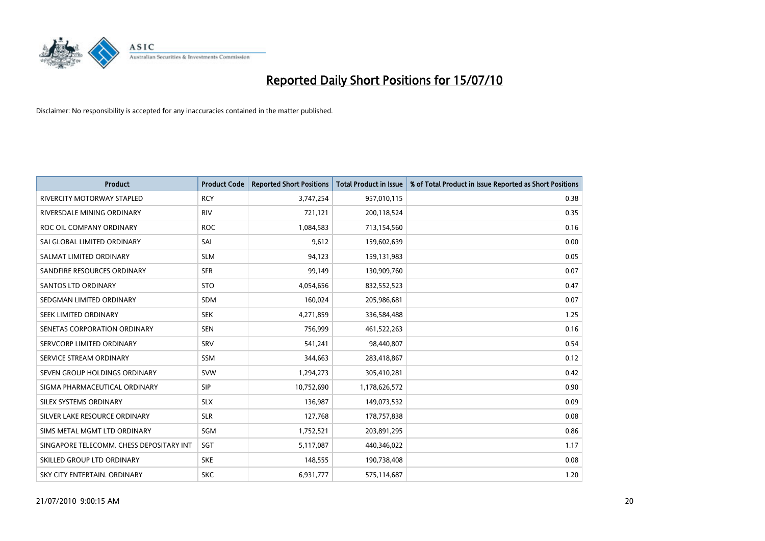

| <b>Product</b>                           | <b>Product Code</b> | <b>Reported Short Positions</b> | <b>Total Product in Issue</b> | % of Total Product in Issue Reported as Short Positions |
|------------------------------------------|---------------------|---------------------------------|-------------------------------|---------------------------------------------------------|
| RIVERCITY MOTORWAY STAPLED               | <b>RCY</b>          | 3,747,254                       | 957,010,115                   | 0.38                                                    |
| RIVERSDALE MINING ORDINARY               | <b>RIV</b>          | 721,121                         | 200,118,524                   | 0.35                                                    |
| ROC OIL COMPANY ORDINARY                 | <b>ROC</b>          | 1,084,583                       | 713,154,560                   | 0.16                                                    |
| SAI GLOBAL LIMITED ORDINARY              | SAI                 | 9,612                           | 159,602,639                   | 0.00                                                    |
| SALMAT LIMITED ORDINARY                  | <b>SLM</b>          | 94,123                          | 159,131,983                   | 0.05                                                    |
| SANDFIRE RESOURCES ORDINARY              | <b>SFR</b>          | 99,149                          | 130,909,760                   | 0.07                                                    |
| <b>SANTOS LTD ORDINARY</b>               | <b>STO</b>          | 4,054,656                       | 832,552,523                   | 0.47                                                    |
| SEDGMAN LIMITED ORDINARY                 | <b>SDM</b>          | 160,024                         | 205,986,681                   | 0.07                                                    |
| SEEK LIMITED ORDINARY                    | <b>SEK</b>          | 4,271,859                       | 336,584,488                   | 1.25                                                    |
| SENETAS CORPORATION ORDINARY             | <b>SEN</b>          | 756,999                         | 461,522,263                   | 0.16                                                    |
| SERVCORP LIMITED ORDINARY                | SRV                 | 541,241                         | 98,440,807                    | 0.54                                                    |
| SERVICE STREAM ORDINARY                  | <b>SSM</b>          | 344,663                         | 283,418,867                   | 0.12                                                    |
| SEVEN GROUP HOLDINGS ORDINARY            | <b>SVW</b>          | 1,294,273                       | 305,410,281                   | 0.42                                                    |
| SIGMA PHARMACEUTICAL ORDINARY            | <b>SIP</b>          | 10,752,690                      | 1,178,626,572                 | 0.90                                                    |
| SILEX SYSTEMS ORDINARY                   | <b>SLX</b>          | 136,987                         | 149,073,532                   | 0.09                                                    |
| SILVER LAKE RESOURCE ORDINARY            | <b>SLR</b>          | 127,768                         | 178,757,838                   | 0.08                                                    |
| SIMS METAL MGMT LTD ORDINARY             | SGM                 | 1,752,521                       | 203,891,295                   | 0.86                                                    |
| SINGAPORE TELECOMM. CHESS DEPOSITARY INT | SGT                 | 5,117,087                       | 440,346,022                   | 1.17                                                    |
| SKILLED GROUP LTD ORDINARY               | <b>SKE</b>          | 148,555                         | 190,738,408                   | 0.08                                                    |
| SKY CITY ENTERTAIN, ORDINARY             | <b>SKC</b>          | 6,931,777                       | 575,114,687                   | 1.20                                                    |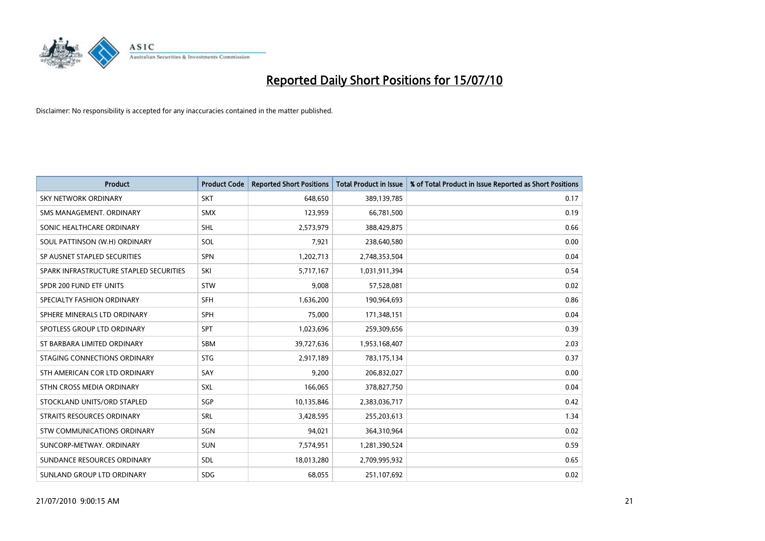

| <b>Product</b>                          | <b>Product Code</b> | <b>Reported Short Positions</b> | <b>Total Product in Issue</b> | % of Total Product in Issue Reported as Short Positions |
|-----------------------------------------|---------------------|---------------------------------|-------------------------------|---------------------------------------------------------|
| <b>SKY NETWORK ORDINARY</b>             | <b>SKT</b>          | 648,650                         | 389,139,785                   | 0.17                                                    |
| SMS MANAGEMENT. ORDINARY                | <b>SMX</b>          | 123,959                         | 66,781,500                    | 0.19                                                    |
| SONIC HEALTHCARE ORDINARY               | <b>SHL</b>          | 2,573,979                       | 388,429,875                   | 0.66                                                    |
| SOUL PATTINSON (W.H) ORDINARY           | SOL                 | 7,921                           | 238,640,580                   | 0.00                                                    |
| SP AUSNET STAPLED SECURITIES            | SPN                 | 1,202,713                       | 2,748,353,504                 | 0.04                                                    |
| SPARK INFRASTRUCTURE STAPLED SECURITIES | SKI                 | 5,717,167                       | 1,031,911,394                 | 0.54                                                    |
| SPDR 200 FUND ETF UNITS                 | STW                 | 9,008                           | 57,528,081                    | 0.02                                                    |
| SPECIALTY FASHION ORDINARY              | <b>SFH</b>          | 1,636,200                       | 190,964,693                   | 0.86                                                    |
| SPHERE MINERALS LTD ORDINARY            | <b>SPH</b>          | 75,000                          | 171,348,151                   | 0.04                                                    |
| SPOTLESS GROUP LTD ORDINARY             | <b>SPT</b>          | 1,023,696                       | 259,309,656                   | 0.39                                                    |
| ST BARBARA LIMITED ORDINARY             | <b>SBM</b>          | 39,727,636                      | 1,953,168,407                 | 2.03                                                    |
| STAGING CONNECTIONS ORDINARY            | <b>STG</b>          | 2,917,189                       | 783,175,134                   | 0.37                                                    |
| STH AMERICAN COR LTD ORDINARY           | SAY                 | 9,200                           | 206,832,027                   | 0.00                                                    |
| STHN CROSS MEDIA ORDINARY               | SXL                 | 166,065                         | 378,827,750                   | 0.04                                                    |
| STOCKLAND UNITS/ORD STAPLED             | SGP                 | 10,135,846                      | 2,383,036,717                 | 0.42                                                    |
| STRAITS RESOURCES ORDINARY              | SRL                 | 3,428,595                       | 255,203,613                   | 1.34                                                    |
| STW COMMUNICATIONS ORDINARY             | SGN                 | 94,021                          | 364,310,964                   | 0.02                                                    |
| SUNCORP-METWAY, ORDINARY                | <b>SUN</b>          | 7,574,951                       | 1,281,390,524                 | 0.59                                                    |
| SUNDANCE RESOURCES ORDINARY             | <b>SDL</b>          | 18,013,280                      | 2,709,995,932                 | 0.65                                                    |
| SUNLAND GROUP LTD ORDINARY              | <b>SDG</b>          | 68,055                          | 251,107,692                   | 0.02                                                    |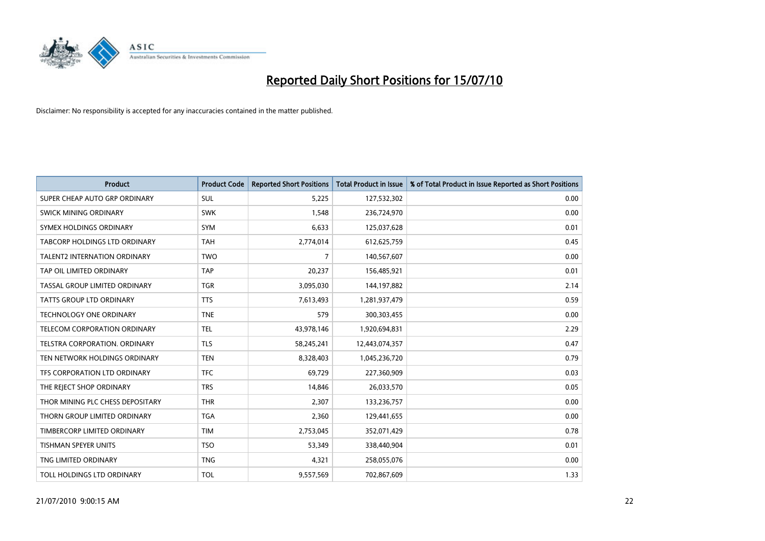

| <b>Product</b>                      | <b>Product Code</b> | <b>Reported Short Positions</b> | <b>Total Product in Issue</b> | % of Total Product in Issue Reported as Short Positions |
|-------------------------------------|---------------------|---------------------------------|-------------------------------|---------------------------------------------------------|
| SUPER CHEAP AUTO GRP ORDINARY       | <b>SUL</b>          | 5,225                           | 127,532,302                   | 0.00                                                    |
| SWICK MINING ORDINARY               | <b>SWK</b>          | 1,548                           | 236,724,970                   | 0.00                                                    |
| SYMEX HOLDINGS ORDINARY             | SYM                 | 6,633                           | 125,037,628                   | 0.01                                                    |
| TABCORP HOLDINGS LTD ORDINARY       | <b>TAH</b>          | 2,774,014                       | 612,625,759                   | 0.45                                                    |
| <b>TALENT2 INTERNATION ORDINARY</b> | <b>TWO</b>          | $\overline{7}$                  | 140,567,607                   | 0.00                                                    |
| TAP OIL LIMITED ORDINARY            | <b>TAP</b>          | 20,237                          | 156,485,921                   | 0.01                                                    |
| TASSAL GROUP LIMITED ORDINARY       | <b>TGR</b>          | 3,095,030                       | 144,197,882                   | 2.14                                                    |
| TATTS GROUP LTD ORDINARY            | <b>TTS</b>          | 7,613,493                       | 1,281,937,479                 | 0.59                                                    |
| <b>TECHNOLOGY ONE ORDINARY</b>      | <b>TNE</b>          | 579                             | 300,303,455                   | 0.00                                                    |
| TELECOM CORPORATION ORDINARY        | <b>TEL</b>          | 43,978,146                      | 1,920,694,831                 | 2.29                                                    |
| TELSTRA CORPORATION. ORDINARY       | <b>TLS</b>          | 58,245,241                      | 12,443,074,357                | 0.47                                                    |
| TEN NETWORK HOLDINGS ORDINARY       | <b>TEN</b>          | 8,328,403                       | 1,045,236,720                 | 0.79                                                    |
| TFS CORPORATION LTD ORDINARY        | <b>TFC</b>          | 69,729                          | 227,360,909                   | 0.03                                                    |
| THE REJECT SHOP ORDINARY            | <b>TRS</b>          | 14,846                          | 26,033,570                    | 0.05                                                    |
| THOR MINING PLC CHESS DEPOSITARY    | <b>THR</b>          | 2,307                           | 133,236,757                   | 0.00                                                    |
| THORN GROUP LIMITED ORDINARY        | <b>TGA</b>          | 2,360                           | 129,441,655                   | 0.00                                                    |
| TIMBERCORP LIMITED ORDINARY         | <b>TIM</b>          | 2,753,045                       | 352,071,429                   | 0.78                                                    |
| TISHMAN SPEYER UNITS                | <b>TSO</b>          | 53,349                          | 338,440,904                   | 0.01                                                    |
| TNG LIMITED ORDINARY                | <b>TNG</b>          | 4,321                           | 258,055,076                   | 0.00                                                    |
| TOLL HOLDINGS LTD ORDINARY          | <b>TOL</b>          | 9,557,569                       | 702,867,609                   | 1.33                                                    |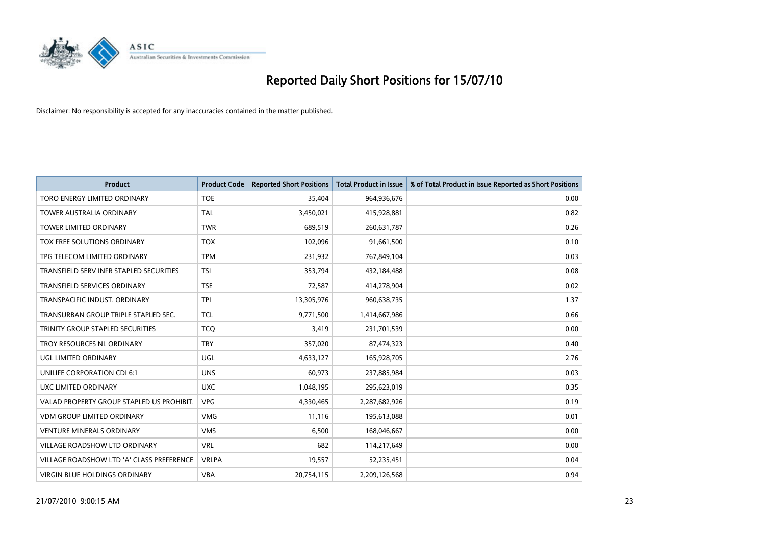

| <b>Product</b>                            | <b>Product Code</b> | <b>Reported Short Positions</b> | <b>Total Product in Issue</b> | % of Total Product in Issue Reported as Short Positions |
|-------------------------------------------|---------------------|---------------------------------|-------------------------------|---------------------------------------------------------|
| TORO ENERGY LIMITED ORDINARY              | <b>TOE</b>          | 35.404                          | 964,936,676                   | 0.00                                                    |
| <b>TOWER AUSTRALIA ORDINARY</b>           | <b>TAL</b>          | 3,450,021                       | 415,928,881                   | 0.82                                                    |
| <b>TOWER LIMITED ORDINARY</b>             | <b>TWR</b>          | 689,519                         | 260,631,787                   | 0.26                                                    |
| TOX FREE SOLUTIONS ORDINARY               | <b>TOX</b>          | 102,096                         | 91,661,500                    | 0.10                                                    |
| TPG TELECOM LIMITED ORDINARY              | <b>TPM</b>          | 231,932                         | 767,849,104                   | 0.03                                                    |
| TRANSFIELD SERV INFR STAPLED SECURITIES   | <b>TSI</b>          | 353,794                         | 432,184,488                   | 0.08                                                    |
| <b>TRANSFIELD SERVICES ORDINARY</b>       | <b>TSE</b>          | 72,587                          | 414,278,904                   | 0.02                                                    |
| TRANSPACIFIC INDUST, ORDINARY             | <b>TPI</b>          | 13,305,976                      | 960,638,735                   | 1.37                                                    |
| TRANSURBAN GROUP TRIPLE STAPLED SEC.      | <b>TCL</b>          | 9,771,500                       | 1,414,667,986                 | 0.66                                                    |
| TRINITY GROUP STAPLED SECURITIES          | <b>TCO</b>          | 3,419                           | 231,701,539                   | 0.00                                                    |
| TROY RESOURCES NL ORDINARY                | <b>TRY</b>          | 357,020                         | 87,474,323                    | 0.40                                                    |
| UGL LIMITED ORDINARY                      | UGL                 | 4,633,127                       | 165,928,705                   | 2.76                                                    |
| UNILIFE CORPORATION CDI 6:1               | <b>UNS</b>          | 60,973                          | 237,885,984                   | 0.03                                                    |
| UXC LIMITED ORDINARY                      | <b>UXC</b>          | 1,048,195                       | 295,623,019                   | 0.35                                                    |
| VALAD PROPERTY GROUP STAPLED US PROHIBIT. | <b>VPG</b>          | 4,330,465                       | 2,287,682,926                 | 0.19                                                    |
| <b>VDM GROUP LIMITED ORDINARY</b>         | <b>VMG</b>          | 11,116                          | 195,613,088                   | 0.01                                                    |
| <b>VENTURE MINERALS ORDINARY</b>          | <b>VMS</b>          | 6,500                           | 168,046,667                   | 0.00                                                    |
| <b>VILLAGE ROADSHOW LTD ORDINARY</b>      | <b>VRL</b>          | 682                             | 114,217,649                   | 0.00                                                    |
| VILLAGE ROADSHOW LTD 'A' CLASS PREFERENCE | <b>VRLPA</b>        | 19,557                          | 52,235,451                    | 0.04                                                    |
| VIRGIN BLUE HOLDINGS ORDINARY             | <b>VBA</b>          | 20,754,115                      | 2,209,126,568                 | 0.94                                                    |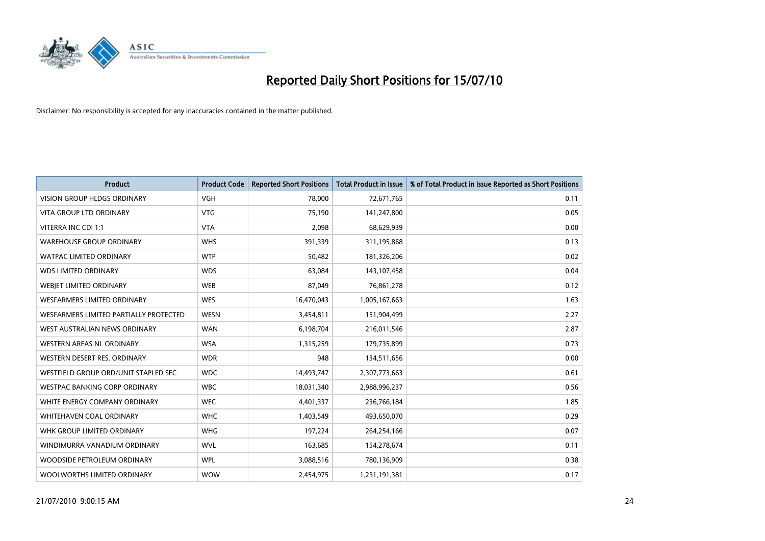

| <b>Product</b>                         | <b>Product Code</b> | <b>Reported Short Positions</b> | <b>Total Product in Issue</b> | % of Total Product in Issue Reported as Short Positions |
|----------------------------------------|---------------------|---------------------------------|-------------------------------|---------------------------------------------------------|
| <b>VISION GROUP HLDGS ORDINARY</b>     | <b>VGH</b>          | 78.000                          | 72,671,765                    | 0.11                                                    |
| <b>VITA GROUP LTD ORDINARY</b>         | <b>VTG</b>          | 75,190                          | 141,247,800                   | 0.05                                                    |
| VITERRA INC CDI 1:1                    | <b>VTA</b>          | 2,098                           | 68,629,939                    | 0.00                                                    |
| <b>WAREHOUSE GROUP ORDINARY</b>        | <b>WHS</b>          | 391,339                         | 311,195,868                   | 0.13                                                    |
| <b>WATPAC LIMITED ORDINARY</b>         | <b>WTP</b>          | 50,482                          | 181,326,206                   | 0.02                                                    |
| <b>WDS LIMITED ORDINARY</b>            | <b>WDS</b>          | 63,084                          | 143,107,458                   | 0.04                                                    |
| <b>WEBJET LIMITED ORDINARY</b>         | <b>WEB</b>          | 87,049                          | 76,861,278                    | 0.12                                                    |
| <b>WESFARMERS LIMITED ORDINARY</b>     | <b>WES</b>          | 16,470,043                      | 1,005,167,663                 | 1.63                                                    |
| WESFARMERS LIMITED PARTIALLY PROTECTED | <b>WESN</b>         | 3,454,811                       | 151,904,499                   | 2.27                                                    |
| WEST AUSTRALIAN NEWS ORDINARY          | <b>WAN</b>          | 6,198,704                       | 216,011,546                   | 2.87                                                    |
| WESTERN AREAS NL ORDINARY              | <b>WSA</b>          | 1,315,259                       | 179,735,899                   | 0.73                                                    |
| WESTERN DESERT RES. ORDINARY           | <b>WDR</b>          | 948                             | 134,511,656                   | 0.00                                                    |
| WESTFIELD GROUP ORD/UNIT STAPLED SEC   | <b>WDC</b>          | 14,493,747                      | 2,307,773,663                 | 0.61                                                    |
| <b>WESTPAC BANKING CORP ORDINARY</b>   | <b>WBC</b>          | 18,031,340                      | 2,988,996,237                 | 0.56                                                    |
| WHITE ENERGY COMPANY ORDINARY          | <b>WEC</b>          | 4,401,337                       | 236,766,184                   | 1.85                                                    |
| <b>WHITEHAVEN COAL ORDINARY</b>        | <b>WHC</b>          | 1,403,549                       | 493,650,070                   | 0.29                                                    |
| WHK GROUP LIMITED ORDINARY             | <b>WHG</b>          | 197,224                         | 264,254,166                   | 0.07                                                    |
| WINDIMURRA VANADIUM ORDINARY           | <b>WVL</b>          | 163,685                         | 154,278,674                   | 0.11                                                    |
| WOODSIDE PETROLEUM ORDINARY            | <b>WPL</b>          | 3,088,516                       | 780,136,909                   | 0.38                                                    |
| WOOLWORTHS LIMITED ORDINARY            | <b>WOW</b>          | 2,454,975                       | 1,231,191,381                 | 0.17                                                    |